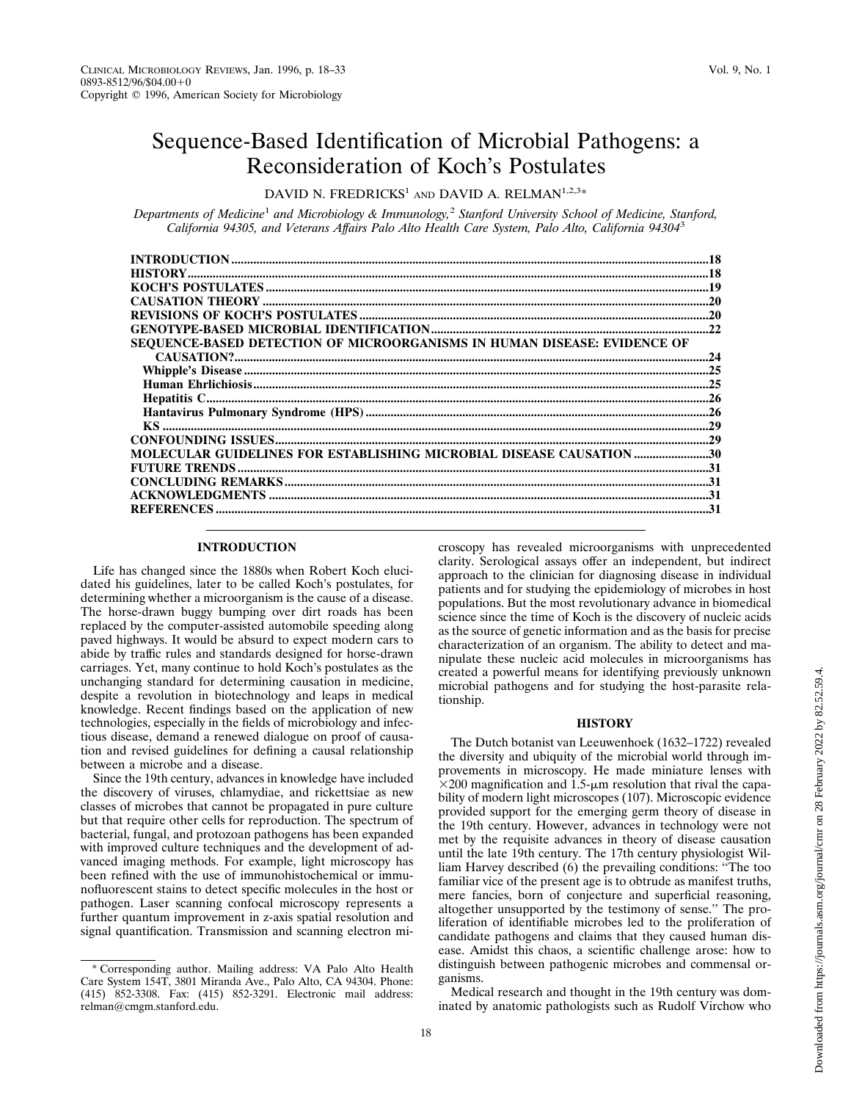# Sequence-Based Identification of Microbial Pathogens: a Reconsideration of Koch's Postulates

DAVID N. FREDRICKS<sup>1</sup> AND DAVID A. RELMAN<sup>1,2,3\*</sup>

*Departments of Medicine*<sup>1</sup> *and Microbiology & Immunology,*<sup>2</sup> *Stanford University School of Medicine, Stanford, California 94305, and Veterans Affairs Palo Alto Health Care System, Palo Alto, California 94304*<sup>3</sup>

| SEQUENCE-BASED DETECTION OF MICROORGANISMS IN HUMAN DISEASE: EVIDENCE OF |  |
|--------------------------------------------------------------------------|--|
|                                                                          |  |
|                                                                          |  |
|                                                                          |  |
|                                                                          |  |
|                                                                          |  |
|                                                                          |  |
|                                                                          |  |
| MOLECULAR GUIDELINES FOR ESTABLISHING MICROBIAL DISEASE CAUSATION30      |  |
|                                                                          |  |
|                                                                          |  |
|                                                                          |  |
|                                                                          |  |
|                                                                          |  |

#### **INTRODUCTION**

Life has changed since the 1880s when Robert Koch elucidated his guidelines, later to be called Koch's postulates, for determining whether a microorganism is the cause of a disease. The horse-drawn buggy bumping over dirt roads has been replaced by the computer-assisted automobile speeding along paved highways. It would be absurd to expect modern cars to abide by traffic rules and standards designed for horse-drawn carriages. Yet, many continue to hold Koch's postulates as the unchanging standard for determining causation in medicine, despite a revolution in biotechnology and leaps in medical knowledge. Recent findings based on the application of new technologies, especially in the fields of microbiology and infectious disease, demand a renewed dialogue on proof of causation and revised guidelines for defining a causal relationship between a microbe and a disease.

Since the 19th century, advances in knowledge have included the discovery of viruses, chlamydiae, and rickettsiae as new classes of microbes that cannot be propagated in pure culture but that require other cells for reproduction. The spectrum of bacterial, fungal, and protozoan pathogens has been expanded with improved culture techniques and the development of advanced imaging methods. For example, light microscopy has been refined with the use of immunohistochemical or immunofluorescent stains to detect specific molecules in the host or pathogen. Laser scanning confocal microscopy represents a further quantum improvement in z-axis spatial resolution and signal quantification. Transmission and scanning electron microscopy has revealed microorganisms with unprecedented clarity. Serological assays offer an independent, but indirect approach to the clinician for diagnosing disease in individual patients and for studying the epidemiology of microbes in host populations. But the most revolutionary advance in biomedical science since the time of Koch is the discovery of nucleic acids as the source of genetic information and as the basis for precise characterization of an organism. The ability to detect and manipulate these nucleic acid molecules in microorganisms has created a powerful means for identifying previously unknown microbial pathogens and for studying the host-parasite relationship.

#### **HISTORY**

The Dutch botanist van Leeuwenhoek (1632–1722) revealed the diversity and ubiquity of the microbial world through improvements in microscopy. He made miniature lenses with  $\times$ 200 magnification and 1.5- $\mu$ m resolution that rival the capability of modern light microscopes (107). Microscopic evidence provided support for the emerging germ theory of disease in the 19th century. However, advances in technology were not met by the requisite advances in theory of disease causation until the late 19th century. The 17th century physiologist William Harvey described (6) the prevailing conditions: ''The too familiar vice of the present age is to obtrude as manifest truths, mere fancies, born of conjecture and superficial reasoning, altogether unsupported by the testimony of sense.'' The proliferation of identifiable microbes led to the proliferation of candidate pathogens and claims that they caused human disease. Amidst this chaos, a scientific challenge arose: how to distinguish between pathogenic microbes and commensal organisms.

Medical research and thought in the 19th century was dominated by anatomic pathologists such as Rudolf Virchow who

<sup>\*</sup> Corresponding author. Mailing address: VA Palo Alto Health Care System 154T, 3801 Miranda Ave., Palo Alto, CA 94304. Phone: (415) 852-3308. Fax: (415) 852-3291. Electronic mail address: relman@cmgm.stanford.edu.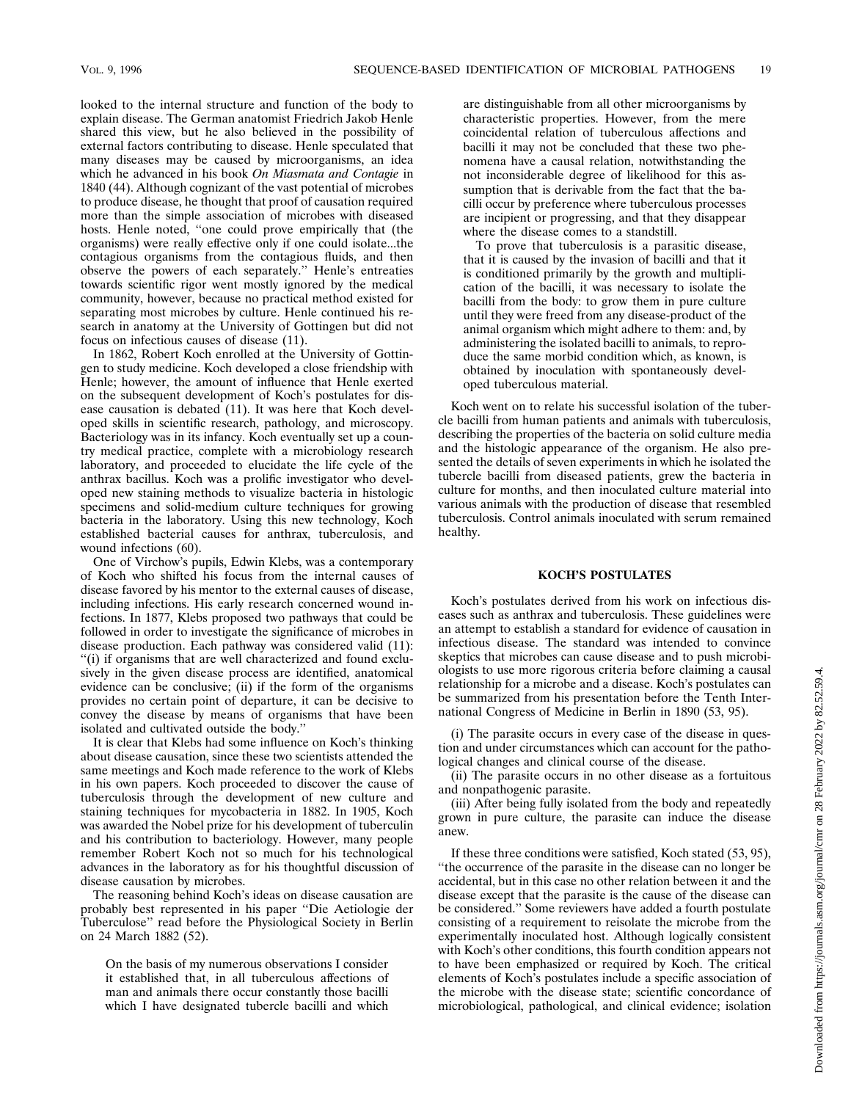looked to the internal structure and function of the body to explain disease. The German anatomist Friedrich Jakob Henle shared this view, but he also believed in the possibility of external factors contributing to disease. Henle speculated that many diseases may be caused by microorganisms, an idea which he advanced in his book *On Miasmata and Contagie* in 1840 (44). Although cognizant of the vast potential of microbes to produce disease, he thought that proof of causation required more than the simple association of microbes with diseased hosts. Henle noted, ''one could prove empirically that (the organisms) were really effective only if one could isolate...the contagious organisms from the contagious fluids, and then observe the powers of each separately.'' Henle's entreaties towards scientific rigor went mostly ignored by the medical community, however, because no practical method existed for separating most microbes by culture. Henle continued his research in anatomy at the University of Gottingen but did not focus on infectious causes of disease (11).

In 1862, Robert Koch enrolled at the University of Gottingen to study medicine. Koch developed a close friendship with Henle; however, the amount of influence that Henle exerted on the subsequent development of Koch's postulates for disease causation is debated (11). It was here that Koch developed skills in scientific research, pathology, and microscopy. Bacteriology was in its infancy. Koch eventually set up a country medical practice, complete with a microbiology research laboratory, and proceeded to elucidate the life cycle of the anthrax bacillus. Koch was a prolific investigator who developed new staining methods to visualize bacteria in histologic specimens and solid-medium culture techniques for growing bacteria in the laboratory. Using this new technology, Koch established bacterial causes for anthrax, tuberculosis, and wound infections (60).

One of Virchow's pupils, Edwin Klebs, was a contemporary of Koch who shifted his focus from the internal causes of disease favored by his mentor to the external causes of disease, including infections. His early research concerned wound infections. In 1877, Klebs proposed two pathways that could be followed in order to investigate the significance of microbes in disease production. Each pathway was considered valid (11): "(i) if organisms that are well characterized and found exclusively in the given disease process are identified, anatomical evidence can be conclusive; (ii) if the form of the organisms provides no certain point of departure, it can be decisive to convey the disease by means of organisms that have been isolated and cultivated outside the body.''

It is clear that Klebs had some influence on Koch's thinking about disease causation, since these two scientists attended the same meetings and Koch made reference to the work of Klebs in his own papers. Koch proceeded to discover the cause of tuberculosis through the development of new culture and staining techniques for mycobacteria in 1882. In 1905, Koch was awarded the Nobel prize for his development of tuberculin and his contribution to bacteriology. However, many people remember Robert Koch not so much for his technological advances in the laboratory as for his thoughtful discussion of disease causation by microbes.

The reasoning behind Koch's ideas on disease causation are probably best represented in his paper ''Die Aetiologie der Tuberculose'' read before the Physiological Society in Berlin on 24 March 1882 (52).

On the basis of my numerous observations I consider it established that, in all tuberculous affections of man and animals there occur constantly those bacilli which I have designated tubercle bacilli and which

are distinguishable from all other microorganisms by characteristic properties. However, from the mere coincidental relation of tuberculous affections and bacilli it may not be concluded that these two phenomena have a causal relation, notwithstanding the not inconsiderable degree of likelihood for this assumption that is derivable from the fact that the bacilli occur by preference where tuberculous processes are incipient or progressing, and that they disappear where the disease comes to a standstill.

To prove that tuberculosis is a parasitic disease, that it is caused by the invasion of bacilli and that it is conditioned primarily by the growth and multiplication of the bacilli, it was necessary to isolate the bacilli from the body: to grow them in pure culture until they were freed from any disease-product of the animal organism which might adhere to them: and, by administering the isolated bacilli to animals, to reproduce the same morbid condition which, as known, is obtained by inoculation with spontaneously developed tuberculous material.

Koch went on to relate his successful isolation of the tubercle bacilli from human patients and animals with tuberculosis, describing the properties of the bacteria on solid culture media and the histologic appearance of the organism. He also presented the details of seven experiments in which he isolated the tubercle bacilli from diseased patients, grew the bacteria in culture for months, and then inoculated culture material into various animals with the production of disease that resembled tuberculosis. Control animals inoculated with serum remained healthy.

## **KOCH'S POSTULATES**

Koch's postulates derived from his work on infectious diseases such as anthrax and tuberculosis. These guidelines were an attempt to establish a standard for evidence of causation in infectious disease. The standard was intended to convince skeptics that microbes can cause disease and to push microbiologists to use more rigorous criteria before claiming a causal relationship for a microbe and a disease. Koch's postulates can be summarized from his presentation before the Tenth International Congress of Medicine in Berlin in 1890 (53, 95).

(i) The parasite occurs in every case of the disease in question and under circumstances which can account for the pathological changes and clinical course of the disease.

(ii) The parasite occurs in no other disease as a fortuitous and nonpathogenic parasite.

(iii) After being fully isolated from the body and repeatedly grown in pure culture, the parasite can induce the disease anew.

If these three conditions were satisfied, Koch stated (53, 95), ''the occurrence of the parasite in the disease can no longer be accidental, but in this case no other relation between it and the disease except that the parasite is the cause of the disease can be considered.'' Some reviewers have added a fourth postulate consisting of a requirement to reisolate the microbe from the experimentally inoculated host. Although logically consistent with Koch's other conditions, this fourth condition appears not to have been emphasized or required by Koch. The critical elements of Koch's postulates include a specific association of the microbe with the disease state; scientific concordance of microbiological, pathological, and clinical evidence; isolation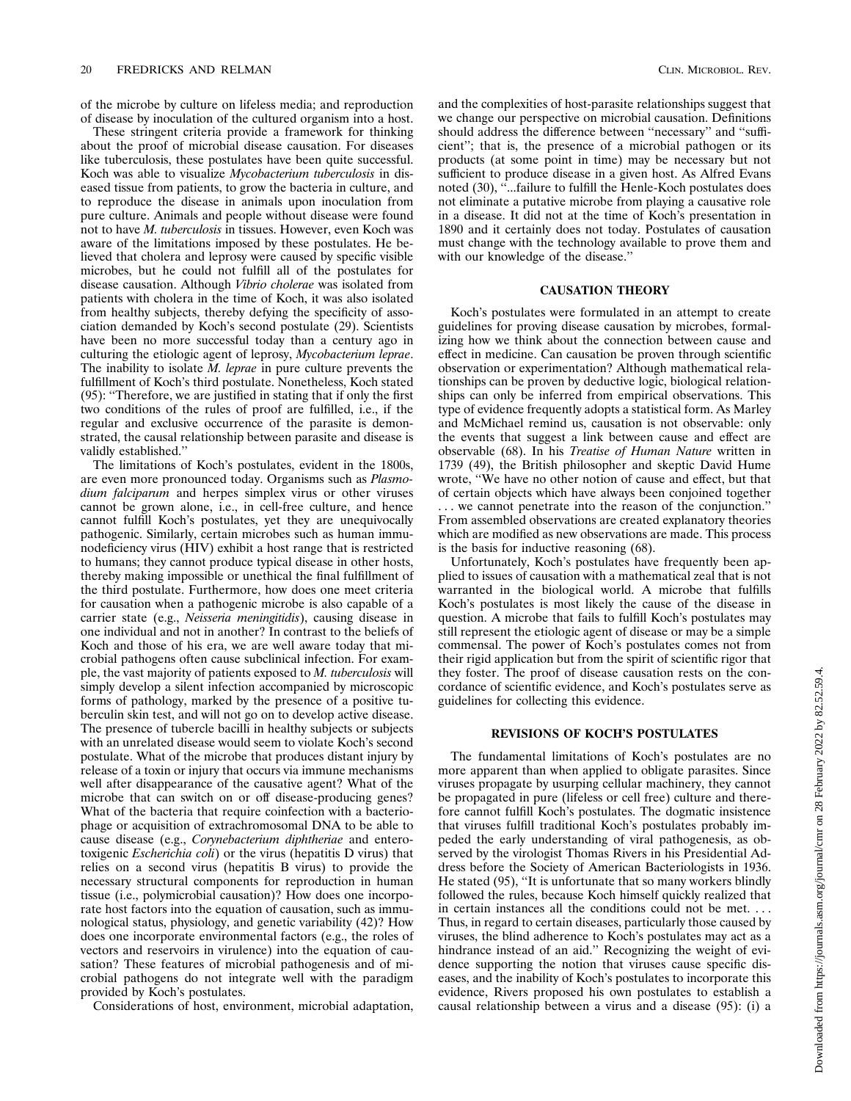of the microbe by culture on lifeless media; and reproduction of disease by inoculation of the cultured organism into a host.

These stringent criteria provide a framework for thinking about the proof of microbial disease causation. For diseases like tuberculosis, these postulates have been quite successful. Koch was able to visualize *Mycobacterium tuberculosis* in diseased tissue from patients, to grow the bacteria in culture, and to reproduce the disease in animals upon inoculation from pure culture. Animals and people without disease were found not to have *M. tuberculosis* in tissues. However, even Koch was aware of the limitations imposed by these postulates. He believed that cholera and leprosy were caused by specific visible microbes, but he could not fulfill all of the postulates for disease causation. Although *Vibrio cholerae* was isolated from patients with cholera in the time of Koch, it was also isolated from healthy subjects, thereby defying the specificity of association demanded by Koch's second postulate (29). Scientists have been no more successful today than a century ago in culturing the etiologic agent of leprosy, *Mycobacterium leprae*. The inability to isolate *M. leprae* in pure culture prevents the fulfillment of Koch's third postulate. Nonetheless, Koch stated (95): ''Therefore, we are justified in stating that if only the first two conditions of the rules of proof are fulfilled, i.e., if the regular and exclusive occurrence of the parasite is demonstrated, the causal relationship between parasite and disease is validly established.''

The limitations of Koch's postulates, evident in the 1800s, are even more pronounced today. Organisms such as *Plasmodium falciparum* and herpes simplex virus or other viruses cannot be grown alone, i.e., in cell-free culture, and hence cannot fulfill Koch's postulates, yet they are unequivocally pathogenic. Similarly, certain microbes such as human immunodeficiency virus (HIV) exhibit a host range that is restricted to humans; they cannot produce typical disease in other hosts, thereby making impossible or unethical the final fulfillment of the third postulate. Furthermore, how does one meet criteria for causation when a pathogenic microbe is also capable of a carrier state (e.g., *Neisseria meningitidis*), causing disease in one individual and not in another? In contrast to the beliefs of Koch and those of his era, we are well aware today that microbial pathogens often cause subclinical infection. For example, the vast majority of patients exposed to *M. tuberculosis* will simply develop a silent infection accompanied by microscopic forms of pathology, marked by the presence of a positive tuberculin skin test, and will not go on to develop active disease. The presence of tubercle bacilli in healthy subjects or subjects with an unrelated disease would seem to violate Koch's second postulate. What of the microbe that produces distant injury by release of a toxin or injury that occurs via immune mechanisms well after disappearance of the causative agent? What of the microbe that can switch on or off disease-producing genes? What of the bacteria that require coinfection with a bacteriophage or acquisition of extrachromosomal DNA to be able to cause disease (e.g., *Corynebacterium diphtheriae* and enterotoxigenic *Escherichia coli*) or the virus (hepatitis D virus) that relies on a second virus (hepatitis B virus) to provide the necessary structural components for reproduction in human tissue (i.e., polymicrobial causation)? How does one incorporate host factors into the equation of causation, such as immunological status, physiology, and genetic variability (42)? How does one incorporate environmental factors (e.g., the roles of vectors and reservoirs in virulence) into the equation of causation? These features of microbial pathogenesis and of microbial pathogens do not integrate well with the paradigm provided by Koch's postulates.

and the complexities of host-parasite relationships suggest that we change our perspective on microbial causation. Definitions should address the difference between ''necessary'' and ''sufficient''; that is, the presence of a microbial pathogen or its products (at some point in time) may be necessary but not sufficient to produce disease in a given host. As Alfred Evans noted (30), ''...failure to fulfill the Henle-Koch postulates does not eliminate a putative microbe from playing a causative role in a disease. It did not at the time of Koch's presentation in 1890 and it certainly does not today. Postulates of causation must change with the technology available to prove them and with our knowledge of the disease.''

## **CAUSATION THEORY**

Koch's postulates were formulated in an attempt to create guidelines for proving disease causation by microbes, formalizing how we think about the connection between cause and effect in medicine. Can causation be proven through scientific observation or experimentation? Although mathematical relationships can be proven by deductive logic, biological relationships can only be inferred from empirical observations. This type of evidence frequently adopts a statistical form. As Marley and McMichael remind us, causation is not observable: only the events that suggest a link between cause and effect are observable (68). In his *Treatise of Human Nature* written in 1739 (49), the British philosopher and skeptic David Hume wrote, ''We have no other notion of cause and effect, but that of certain objects which have always been conjoined together . . . we cannot penetrate into the reason of the conjunction.'' From assembled observations are created explanatory theories which are modified as new observations are made. This process is the basis for inductive reasoning (68).

Unfortunately, Koch's postulates have frequently been applied to issues of causation with a mathematical zeal that is not warranted in the biological world. A microbe that fulfills Koch's postulates is most likely the cause of the disease in question. A microbe that fails to fulfill Koch's postulates may still represent the etiologic agent of disease or may be a simple commensal. The power of Koch's postulates comes not from their rigid application but from the spirit of scientific rigor that they foster. The proof of disease causation rests on the concordance of scientific evidence, and Koch's postulates serve as guidelines for collecting this evidence.

## **REVISIONS OF KOCH'S POSTULATES**

The fundamental limitations of Koch's postulates are no more apparent than when applied to obligate parasites. Since viruses propagate by usurping cellular machinery, they cannot be propagated in pure (lifeless or cell free) culture and therefore cannot fulfill Koch's postulates. The dogmatic insistence that viruses fulfill traditional Koch's postulates probably impeded the early understanding of viral pathogenesis, as observed by the virologist Thomas Rivers in his Presidential Address before the Society of American Bacteriologists in 1936. He stated (95), ''It is unfortunate that so many workers blindly followed the rules, because Koch himself quickly realized that in certain instances all the conditions could not be met. . . . Thus, in regard to certain diseases, particularly those caused by viruses, the blind adherence to Koch's postulates may act as a hindrance instead of an aid." Recognizing the weight of evidence supporting the notion that viruses cause specific diseases, and the inability of Koch's postulates to incorporate this evidence, Rivers proposed his own postulates to establish a causal relationship between a virus and a disease (95): (i) a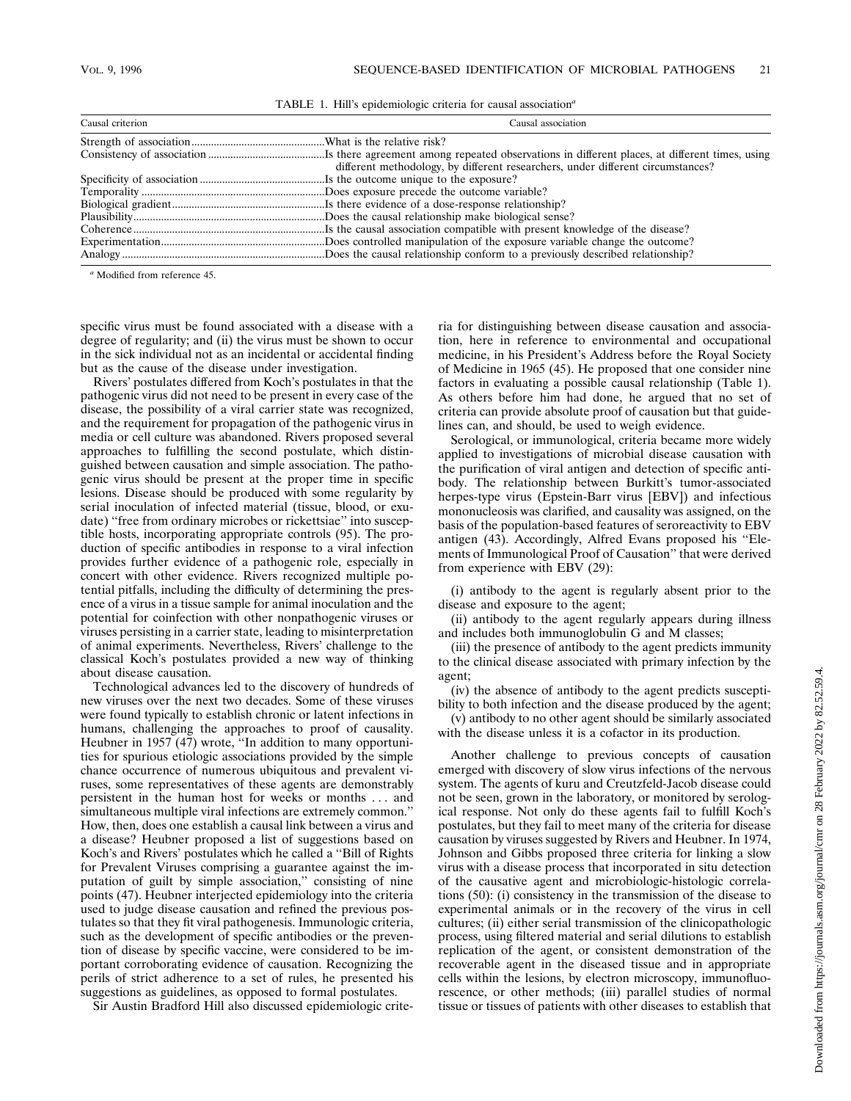| <b>TABLE 1. FILL's epidemologic criteria for causal association</b> |                                                                                 |  |
|---------------------------------------------------------------------|---------------------------------------------------------------------------------|--|
| Causal criterion                                                    | Causal association                                                              |  |
|                                                                     |                                                                                 |  |
|                                                                     |                                                                                 |  |
|                                                                     | different methodology, by different researchers, under different circumstances? |  |
|                                                                     |                                                                                 |  |
|                                                                     |                                                                                 |  |
|                                                                     |                                                                                 |  |
|                                                                     |                                                                                 |  |
|                                                                     |                                                                                 |  |
|                                                                     |                                                                                 |  |
|                                                                     |                                                                                 |  |

TABLE 1. Hill's epidemiologic criteria for causal association*<sup>a</sup>*

*<sup>a</sup>* Modified from reference 45.

specific virus must be found associated with a disease with a degree of regularity; and (ii) the virus must be shown to occur in the sick individual not as an incidental or accidental finding but as the cause of the disease under investigation.

Rivers' postulates differed from Koch's postulates in that the pathogenic virus did not need to be present in every case of the disease, the possibility of a viral carrier state was recognized, and the requirement for propagation of the pathogenic virus in media or cell culture was abandoned. Rivers proposed several approaches to fulfilling the second postulate, which distinguished between causation and simple association. The pathogenic virus should be present at the proper time in specific lesions. Disease should be produced with some regularity by serial inoculation of infected material (tissue, blood, or exudate) "free from ordinary microbes or rickettsiae" into susceptible hosts, incorporating appropriate controls (95). The production of specific antibodies in response to a viral infection provides further evidence of a pathogenic role, especially in concert with other evidence. Rivers recognized multiple potential pitfalls, including the difficulty of determining the presence of a virus in a tissue sample for animal inoculation and the potential for coinfection with other nonpathogenic viruses or viruses persisting in a carrier state, leading to misinterpretation of animal experiments. Nevertheless, Rivers' challenge to the classical Koch's postulates provided a new way of thinking about disease causation.

Technological advances led to the discovery of hundreds of new viruses over the next two decades. Some of these viruses were found typically to establish chronic or latent infections in humans, challenging the approaches to proof of causality. Heubner in 1957 (47) wrote, "In addition to many opportunities for spurious etiologic associations provided by the simple chance occurrence of numerous ubiquitous and prevalent viruses, some representatives of these agents are demonstrably persistent in the human host for weeks or months . . . and simultaneous multiple viral infections are extremely common.'' How, then, does one establish a causal link between a virus and a disease? Heubner proposed a list of suggestions based on Koch's and Rivers' postulates which he called a ''Bill of Rights for Prevalent Viruses comprising a guarantee against the imputation of guilt by simple association,'' consisting of nine points (47). Heubner interjected epidemiology into the criteria used to judge disease causation and refined the previous postulates so that they fit viral pathogenesis. Immunologic criteria, such as the development of specific antibodies or the prevention of disease by specific vaccine, were considered to be important corroborating evidence of causation. Recognizing the perils of strict adherence to a set of rules, he presented his suggestions as guidelines, as opposed to formal postulates.

Sir Austin Bradford Hill also discussed epidemiologic crite-

ria for distinguishing between disease causation and association, here in reference to environmental and occupational medicine, in his President's Address before the Royal Society of Medicine in 1965 (45). He proposed that one consider nine factors in evaluating a possible causal relationship (Table 1). As others before him had done, he argued that no set of criteria can provide absolute proof of causation but that guidelines can, and should, be used to weigh evidence.

Serological, or immunological, criteria became more widely applied to investigations of microbial disease causation with the purification of viral antigen and detection of specific antibody. The relationship between Burkitt's tumor-associated herpes-type virus (Epstein-Barr virus [EBV]) and infectious mononucleosis was clarified, and causality was assigned, on the basis of the population-based features of seroreactivity to EBV antigen (43). Accordingly, Alfred Evans proposed his ''Elements of Immunological Proof of Causation'' that were derived from experience with EBV (29):

(i) antibody to the agent is regularly absent prior to the disease and exposure to the agent;

(ii) antibody to the agent regularly appears during illness and includes both immunoglobulin G and M classes;

(iii) the presence of antibody to the agent predicts immunity to the clinical disease associated with primary infection by the agent;

(iv) the absence of antibody to the agent predicts susceptibility to both infection and the disease produced by the agent;

(v) antibody to no other agent should be similarly associated with the disease unless it is a cofactor in its production.

Another challenge to previous concepts of causation emerged with discovery of slow virus infections of the nervous system. The agents of kuru and Creutzfeld-Jacob disease could not be seen, grown in the laboratory, or monitored by serological response. Not only do these agents fail to fulfill Koch's postulates, but they fail to meet many of the criteria for disease causation by viruses suggested by Rivers and Heubner. In 1974, Johnson and Gibbs proposed three criteria for linking a slow virus with a disease process that incorporated in situ detection of the causative agent and microbiologic-histologic correlations (50): (i) consistency in the transmission of the disease to experimental animals or in the recovery of the virus in cell cultures; (ii) either serial transmission of the clinicopathologic process, using filtered material and serial dilutions to establish replication of the agent, or consistent demonstration of the recoverable agent in the diseased tissue and in appropriate cells within the lesions, by electron microscopy, immunofluorescence, or other methods; (iii) parallel studies of normal tissue or tissues of patients with other diseases to establish that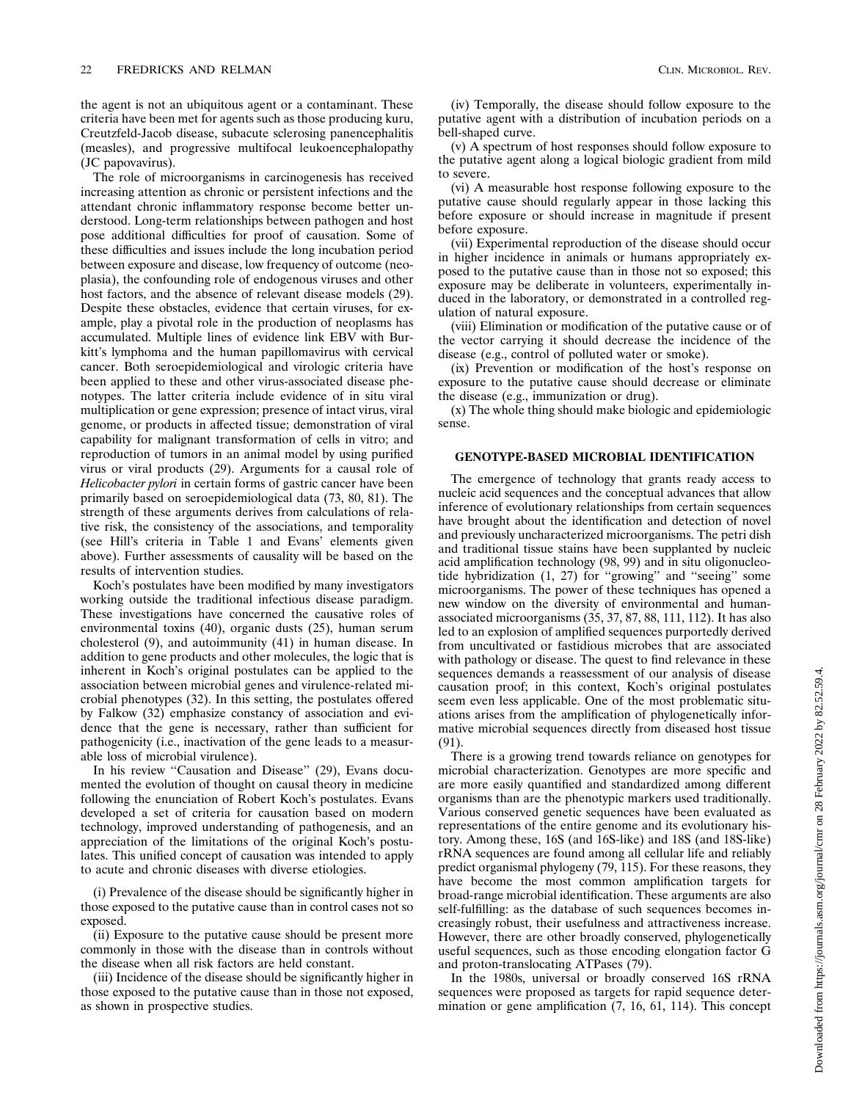the agent is not an ubiquitous agent or a contaminant. These criteria have been met for agents such as those producing kuru, Creutzfeld-Jacob disease, subacute sclerosing panencephalitis (measles), and progressive multifocal leukoencephalopathy (JC papovavirus).

The role of microorganisms in carcinogenesis has received increasing attention as chronic or persistent infections and the attendant chronic inflammatory response become better understood. Long-term relationships between pathogen and host pose additional difficulties for proof of causation. Some of these difficulties and issues include the long incubation period between exposure and disease, low frequency of outcome (neoplasia), the confounding role of endogenous viruses and other host factors, and the absence of relevant disease models (29). Despite these obstacles, evidence that certain viruses, for example, play a pivotal role in the production of neoplasms has accumulated. Multiple lines of evidence link EBV with Burkitt's lymphoma and the human papillomavirus with cervical cancer. Both seroepidemiological and virologic criteria have been applied to these and other virus-associated disease phenotypes. The latter criteria include evidence of in situ viral multiplication or gene expression; presence of intact virus, viral genome, or products in affected tissue; demonstration of viral capability for malignant transformation of cells in vitro; and reproduction of tumors in an animal model by using purified virus or viral products (29). Arguments for a causal role of *Helicobacter pylori* in certain forms of gastric cancer have been primarily based on seroepidemiological data (73, 80, 81). The strength of these arguments derives from calculations of relative risk, the consistency of the associations, and temporality (see Hill's criteria in Table 1 and Evans' elements given above). Further assessments of causality will be based on the results of intervention studies.

Koch's postulates have been modified by many investigators working outside the traditional infectious disease paradigm. These investigations have concerned the causative roles of environmental toxins (40), organic dusts (25), human serum cholesterol (9), and autoimmunity (41) in human disease. In addition to gene products and other molecules, the logic that is inherent in Koch's original postulates can be applied to the association between microbial genes and virulence-related microbial phenotypes (32). In this setting, the postulates offered by Falkow (32) emphasize constancy of association and evidence that the gene is necessary, rather than sufficient for pathogenicity (i.e., inactivation of the gene leads to a measurable loss of microbial virulence).

In his review "Causation and Disease" (29), Evans documented the evolution of thought on causal theory in medicine following the enunciation of Robert Koch's postulates. Evans developed a set of criteria for causation based on modern technology, improved understanding of pathogenesis, and an appreciation of the limitations of the original Koch's postulates. This unified concept of causation was intended to apply to acute and chronic diseases with diverse etiologies.

(i) Prevalence of the disease should be significantly higher in those exposed to the putative cause than in control cases not so exposed.

(ii) Exposure to the putative cause should be present more commonly in those with the disease than in controls without the disease when all risk factors are held constant.

(iii) Incidence of the disease should be significantly higher in those exposed to the putative cause than in those not exposed, as shown in prospective studies.

(iv) Temporally, the disease should follow exposure to the putative agent with a distribution of incubation periods on a bell-shaped curve.

(v) A spectrum of host responses should follow exposure to the putative agent along a logical biologic gradient from mild to severe.

(vi) A measurable host response following exposure to the putative cause should regularly appear in those lacking this before exposure or should increase in magnitude if present before exposure.

(vii) Experimental reproduction of the disease should occur in higher incidence in animals or humans appropriately exposed to the putative cause than in those not so exposed; this exposure may be deliberate in volunteers, experimentally induced in the laboratory, or demonstrated in a controlled regulation of natural exposure.

(viii) Elimination or modification of the putative cause or of the vector carrying it should decrease the incidence of the disease (e.g., control of polluted water or smoke).

(ix) Prevention or modification of the host's response on exposure to the putative cause should decrease or eliminate the disease (e.g., immunization or drug).

(x) The whole thing should make biologic and epidemiologic sense.

# **GENOTYPE-BASED MICROBIAL IDENTIFICATION**

The emergence of technology that grants ready access to nucleic acid sequences and the conceptual advances that allow inference of evolutionary relationships from certain sequences have brought about the identification and detection of novel and previously uncharacterized microorganisms. The petri dish and traditional tissue stains have been supplanted by nucleic acid amplification technology (98, 99) and in situ oligonucleotide hybridization (1, 27) for ''growing'' and ''seeing'' some microorganisms. The power of these techniques has opened a new window on the diversity of environmental and humanassociated microorganisms (35, 37, 87, 88, 111, 112). It has also led to an explosion of amplified sequences purportedly derived from uncultivated or fastidious microbes that are associated with pathology or disease. The quest to find relevance in these sequences demands a reassessment of our analysis of disease causation proof; in this context, Koch's original postulates seem even less applicable. One of the most problematic situations arises from the amplification of phylogenetically informative microbial sequences directly from diseased host tissue (91).

There is a growing trend towards reliance on genotypes for microbial characterization. Genotypes are more specific and are more easily quantified and standardized among different organisms than are the phenotypic markers used traditionally. Various conserved genetic sequences have been evaluated as representations of the entire genome and its evolutionary history. Among these, 16S (and 16S-like) and 18S (and 18S-like) rRNA sequences are found among all cellular life and reliably predict organismal phylogeny (79, 115). For these reasons, they have become the most common amplification targets for broad-range microbial identification. These arguments are also self-fulfilling: as the database of such sequences becomes increasingly robust, their usefulness and attractiveness increase. However, there are other broadly conserved, phylogenetically useful sequences, such as those encoding elongation factor G and proton-translocating ATPases (79).

In the 1980s, universal or broadly conserved 16S rRNA sequences were proposed as targets for rapid sequence determination or gene amplification (7, 16, 61, 114). This concept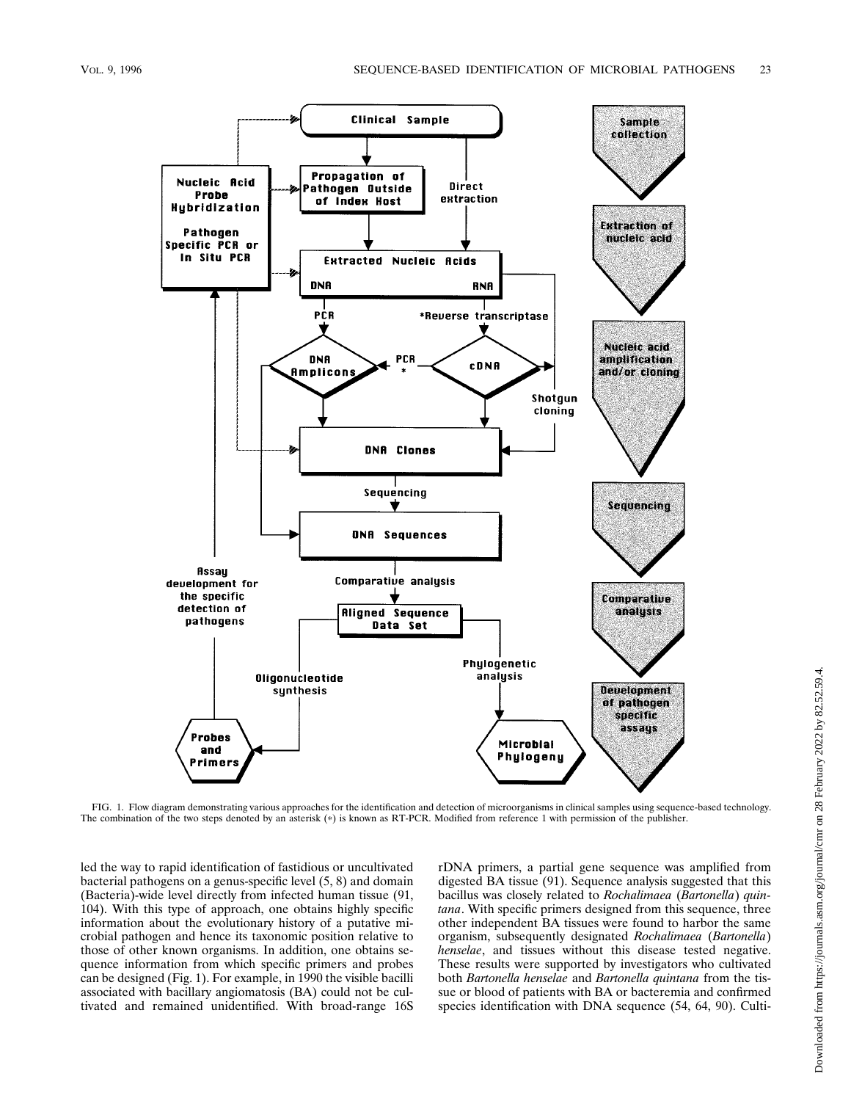

FIG. 1. Flow diagram demonstrating various approaches for the identification and detection of microorganisms in clinical samples using sequence-based technology. The combination of the two steps denoted by an asterisk (\*) is known as RT-PCR. Modified from reference 1 with permission of the publisher.

led the way to rapid identification of fastidious or uncultivated bacterial pathogens on a genus-specific level (5, 8) and domain (Bacteria)-wide level directly from infected human tissue (91, 104). With this type of approach, one obtains highly specific information about the evolutionary history of a putative microbial pathogen and hence its taxonomic position relative to those of other known organisms. In addition, one obtains sequence information from which specific primers and probes can be designed (Fig. 1). For example, in 1990 the visible bacilli associated with bacillary angiomatosis (BA) could not be cultivated and remained unidentified. With broad-range 16S

rDNA primers, a partial gene sequence was amplified from digested BA tissue (91). Sequence analysis suggested that this bacillus was closely related to *Rochalimaea* (*Bartonella*) *quintana*. With specific primers designed from this sequence, three other independent BA tissues were found to harbor the same organism, subsequently designated *Rochalimaea* (*Bartonella*) *henselae*, and tissues without this disease tested negative. These results were supported by investigators who cultivated both *Bartonella henselae* and *Bartonella quintana* from the tissue or blood of patients with BA or bacteremia and confirmed species identification with DNA sequence (54, 64, 90). Culti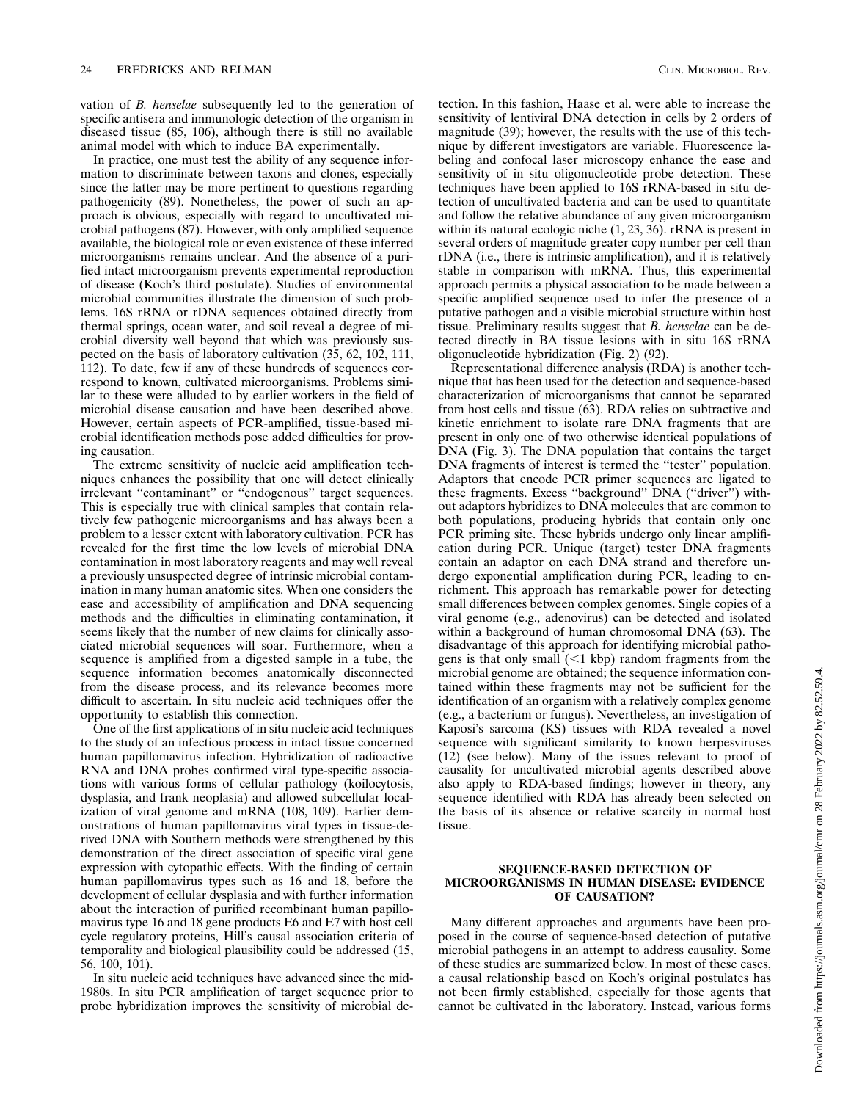vation of *B. henselae* subsequently led to the generation of specific antisera and immunologic detection of the organism in diseased tissue (85, 106), although there is still no available animal model with which to induce BA experimentally.

In practice, one must test the ability of any sequence information to discriminate between taxons and clones, especially since the latter may be more pertinent to questions regarding pathogenicity (89). Nonetheless, the power of such an approach is obvious, especially with regard to uncultivated microbial pathogens (87). However, with only amplified sequence available, the biological role or even existence of these inferred microorganisms remains unclear. And the absence of a purified intact microorganism prevents experimental reproduction of disease (Koch's third postulate). Studies of environmental microbial communities illustrate the dimension of such problems. 16S rRNA or rDNA sequences obtained directly from thermal springs, ocean water, and soil reveal a degree of microbial diversity well beyond that which was previously suspected on the basis of laboratory cultivation (35, 62, 102, 111, 112). To date, few if any of these hundreds of sequences correspond to known, cultivated microorganisms. Problems similar to these were alluded to by earlier workers in the field of microbial disease causation and have been described above. However, certain aspects of PCR-amplified, tissue-based microbial identification methods pose added difficulties for proving causation.

The extreme sensitivity of nucleic acid amplification techniques enhances the possibility that one will detect clinically irrelevant ''contaminant'' or ''endogenous'' target sequences. This is especially true with clinical samples that contain relatively few pathogenic microorganisms and has always been a problem to a lesser extent with laboratory cultivation. PCR has revealed for the first time the low levels of microbial DNA contamination in most laboratory reagents and may well reveal a previously unsuspected degree of intrinsic microbial contamination in many human anatomic sites. When one considers the ease and accessibility of amplification and DNA sequencing methods and the difficulties in eliminating contamination, it seems likely that the number of new claims for clinically associated microbial sequences will soar. Furthermore, when a sequence is amplified from a digested sample in a tube, the sequence information becomes anatomically disconnected from the disease process, and its relevance becomes more difficult to ascertain. In situ nucleic acid techniques offer the opportunity to establish this connection.

One of the first applications of in situ nucleic acid techniques to the study of an infectious process in intact tissue concerned human papillomavirus infection. Hybridization of radioactive RNA and DNA probes confirmed viral type-specific associations with various forms of cellular pathology (koilocytosis, dysplasia, and frank neoplasia) and allowed subcellular localization of viral genome and mRNA (108, 109). Earlier demonstrations of human papillomavirus viral types in tissue-derived DNA with Southern methods were strengthened by this demonstration of the direct association of specific viral gene expression with cytopathic effects. With the finding of certain human papillomavirus types such as 16 and 18, before the development of cellular dysplasia and with further information about the interaction of purified recombinant human papillomavirus type 16 and 18 gene products E6 and E7 with host cell cycle regulatory proteins, Hill's causal association criteria of temporality and biological plausibility could be addressed (15, 56, 100, 101).

In situ nucleic acid techniques have advanced since the mid-1980s. In situ PCR amplification of target sequence prior to probe hybridization improves the sensitivity of microbial detection. In this fashion, Haase et al. were able to increase the sensitivity of lentiviral DNA detection in cells by 2 orders of magnitude (39); however, the results with the use of this technique by different investigators are variable. Fluorescence labeling and confocal laser microscopy enhance the ease and sensitivity of in situ oligonucleotide probe detection. These techniques have been applied to 16S rRNA-based in situ detection of uncultivated bacteria and can be used to quantitate and follow the relative abundance of any given microorganism within its natural ecologic niche (1, 23, 36). rRNA is present in several orders of magnitude greater copy number per cell than rDNA (i.e., there is intrinsic amplification), and it is relatively stable in comparison with mRNA. Thus, this experimental approach permits a physical association to be made between a specific amplified sequence used to infer the presence of a putative pathogen and a visible microbial structure within host tissue. Preliminary results suggest that *B. henselae* can be detected directly in BA tissue lesions with in situ 16S rRNA oligonucleotide hybridization (Fig. 2) (92).

Representational difference analysis (RDA) is another technique that has been used for the detection and sequence-based characterization of microorganisms that cannot be separated from host cells and tissue (63). RDA relies on subtractive and kinetic enrichment to isolate rare DNA fragments that are present in only one of two otherwise identical populations of DNA (Fig. 3). The DNA population that contains the target DNA fragments of interest is termed the ''tester'' population. Adaptors that encode PCR primer sequences are ligated to these fragments. Excess ''background'' DNA (''driver'') without adaptors hybridizes to DNA molecules that are common to both populations, producing hybrids that contain only one PCR priming site. These hybrids undergo only linear amplification during PCR. Unique (target) tester DNA fragments contain an adaptor on each DNA strand and therefore undergo exponential amplification during PCR, leading to enrichment. This approach has remarkable power for detecting small differences between complex genomes. Single copies of a viral genome (e.g., adenovirus) can be detected and isolated within a background of human chromosomal DNA (63). The disadvantage of this approach for identifying microbial pathogens is that only small  $(<1$  kbp) random fragments from the microbial genome are obtained; the sequence information contained within these fragments may not be sufficient for the identification of an organism with a relatively complex genome (e.g., a bacterium or fungus). Nevertheless, an investigation of Kaposi's sarcoma (KS) tissues with RDA revealed a novel sequence with significant similarity to known herpesviruses (12) (see below). Many of the issues relevant to proof of causality for uncultivated microbial agents described above also apply to RDA-based findings; however in theory, any sequence identified with RDA has already been selected on the basis of its absence or relative scarcity in normal host tissue.

# **SEQUENCE-BASED DETECTION OF MICROORGANISMS IN HUMAN DISEASE: EVIDENCE OF CAUSATION?**

Many different approaches and arguments have been proposed in the course of sequence-based detection of putative microbial pathogens in an attempt to address causality. Some of these studies are summarized below. In most of these cases, a causal relationship based on Koch's original postulates has not been firmly established, especially for those agents that cannot be cultivated in the laboratory. Instead, various forms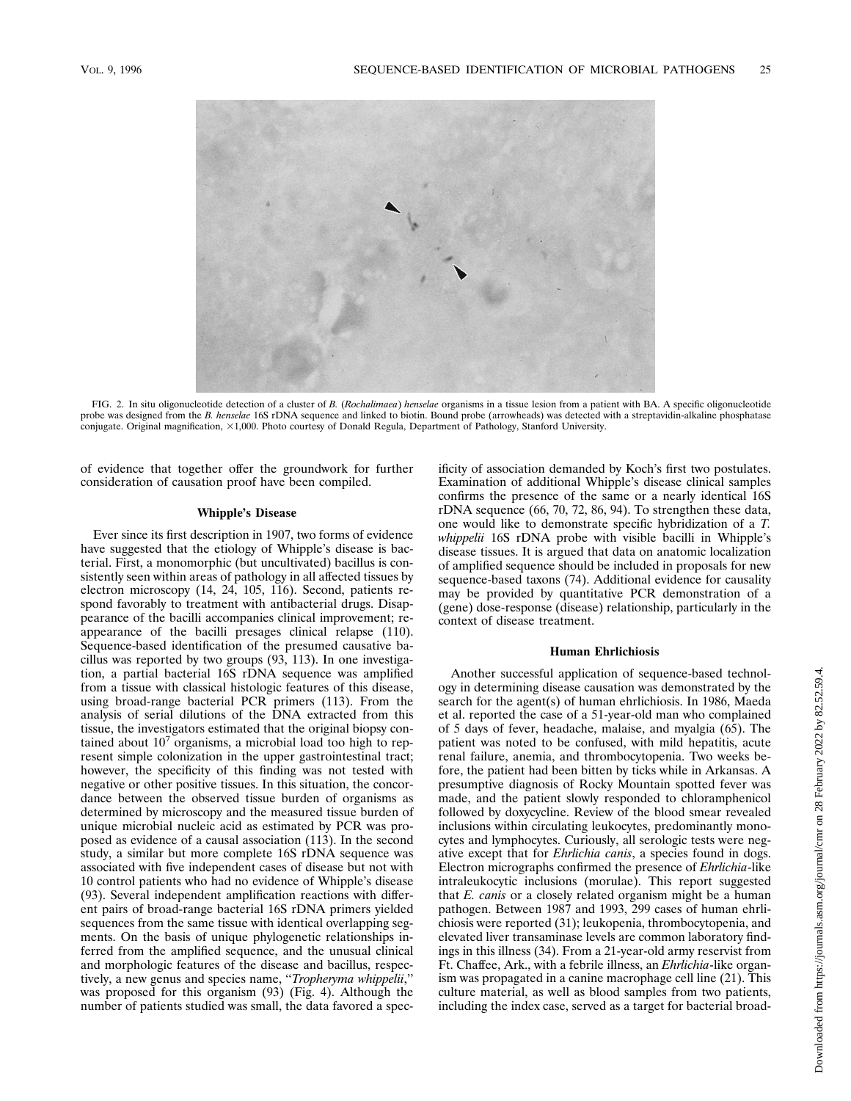

FIG. 2. In situ oligonucleotide detection of a cluster of *B.* (*Rochalimaea*) *henselae* organisms in a tissue lesion from a patient with BA. A specific oligonucleotide probe was designed from the *B. henselae* 16S rDNA sequence and linked to biotin. Bound probe (arrowheads) was detected with a streptavidin-alkaline phosphatase conjugate. Original magnification, 31,000. Photo courtesy of Donald Regula, Department of Pathology, Stanford University.

of evidence that together offer the groundwork for further consideration of causation proof have been compiled.

## **Whipple's Disease**

Ever since its first description in 1907, two forms of evidence have suggested that the etiology of Whipple's disease is bacterial. First, a monomorphic (but uncultivated) bacillus is consistently seen within areas of pathology in all affected tissues by electron microscopy (14, 24, 105, 116). Second, patients respond favorably to treatment with antibacterial drugs. Disappearance of the bacilli accompanies clinical improvement; reappearance of the bacilli presages clinical relapse (110). Sequence-based identification of the presumed causative bacillus was reported by two groups (93, 113). In one investigation, a partial bacterial 16S rDNA sequence was amplified from a tissue with classical histologic features of this disease, using broad-range bacterial PCR primers (113). From the analysis of serial dilutions of the DNA extracted from this tissue, the investigators estimated that the original biopsy contained about  $10<sup>7</sup>$  organisms, a microbial load too high to represent simple colonization in the upper gastrointestinal tract; however, the specificity of this finding was not tested with negative or other positive tissues. In this situation, the concordance between the observed tissue burden of organisms as determined by microscopy and the measured tissue burden of unique microbial nucleic acid as estimated by PCR was proposed as evidence of a causal association (113). In the second study, a similar but more complete 16S rDNA sequence was associated with five independent cases of disease but not with 10 control patients who had no evidence of Whipple's disease (93). Several independent amplification reactions with different pairs of broad-range bacterial 16S rDNA primers yielded sequences from the same tissue with identical overlapping segments. On the basis of unique phylogenetic relationships inferred from the amplified sequence, and the unusual clinical and morphologic features of the disease and bacillus, respectively, a new genus and species name, ''*Tropheryma whippelii*,'' was proposed for this organism (93) (Fig. 4). Although the number of patients studied was small, the data favored a specificity of association demanded by Koch's first two postulates. Examination of additional Whipple's disease clinical samples confirms the presence of the same or a nearly identical 16S rDNA sequence (66, 70, 72, 86, 94). To strengthen these data, one would like to demonstrate specific hybridization of a *T. whippelii* 16S rDNA probe with visible bacilli in Whipple's disease tissues. It is argued that data on anatomic localization of amplified sequence should be included in proposals for new sequence-based taxons (74). Additional evidence for causality may be provided by quantitative PCR demonstration of a (gene) dose-response (disease) relationship, particularly in the context of disease treatment.

#### **Human Ehrlichiosis**

Another successful application of sequence-based technology in determining disease causation was demonstrated by the search for the agent(s) of human ehrlichiosis. In 1986, Maeda et al. reported the case of a 51-year-old man who complained of 5 days of fever, headache, malaise, and myalgia (65). The patient was noted to be confused, with mild hepatitis, acute renal failure, anemia, and thrombocytopenia. Two weeks before, the patient had been bitten by ticks while in Arkansas. A presumptive diagnosis of Rocky Mountain spotted fever was made, and the patient slowly responded to chloramphenicol followed by doxycycline. Review of the blood smear revealed inclusions within circulating leukocytes, predominantly monocytes and lymphocytes. Curiously, all serologic tests were negative except that for *Ehrlichia canis*, a species found in dogs. Electron micrographs confirmed the presence of *Ehrlichia*-like intraleukocytic inclusions (morulae). This report suggested that *E. canis* or a closely related organism might be a human pathogen. Between 1987 and 1993, 299 cases of human ehrlichiosis were reported (31); leukopenia, thrombocytopenia, and elevated liver transaminase levels are common laboratory findings in this illness (34). From a 21-year-old army reservist from Ft. Chaffee, Ark., with a febrile illness, an *Ehrlichia*-like organism was propagated in a canine macrophage cell line (21). This culture material, as well as blood samples from two patients, including the index case, served as a target for bacterial broad-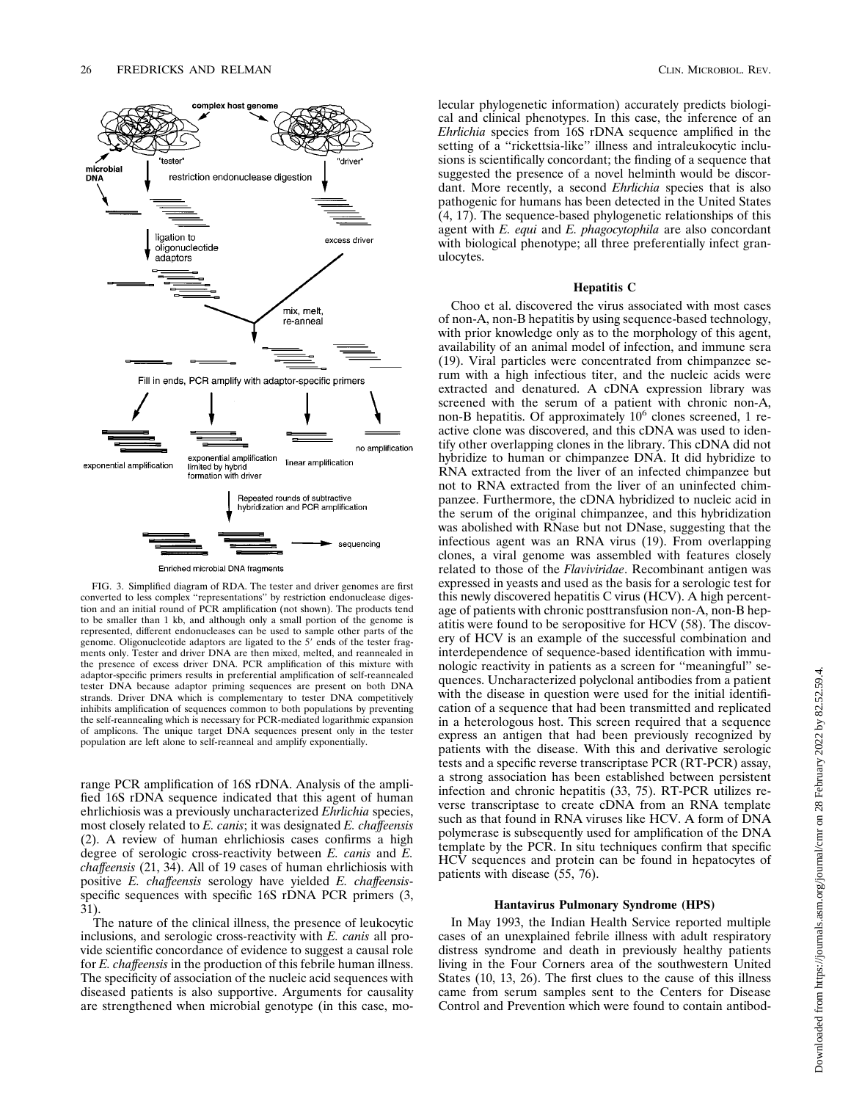

Enriched microbial DNA fragments

FIG. 3. Simplified diagram of RDA. The tester and driver genomes are first converted to less complex ''representations'' by restriction endonuclease digestion and an initial round of PCR amplification (not shown). The products tend to be smaller than 1 kb, and although only a small portion of the genome is represented, different endonucleases can be used to sample other parts of the genome. Oligonucleotide adaptors are ligated to the 5' ends of the tester fragments only. Tester and driver DNA are then mixed, melted, and reannealed in the presence of excess driver DNA. PCR amplification of this mixture with adaptor-specific primers results in preferential amplification of self-reannealed tester DNA because adaptor priming sequences are present on both DNA strands. Driver DNA which is complementary to tester DNA competitively inhibits amplification of sequences common to both populations by preventing the self-reannealing which is necessary for PCR-mediated logarithmic expansion of amplicons. The unique target DNA sequences present only in the tester population are left alone to self-reanneal and amplify exponentially.

range PCR amplification of 16S rDNA. Analysis of the amplified 16S rDNA sequence indicated that this agent of human ehrlichiosis was a previously uncharacterized *Ehrlichia* species, most closely related to *E. canis*; it was designated *E. chaffeensis* (2). A review of human ehrlichiosis cases confirms a high degree of serologic cross-reactivity between *E. canis* and *E. chaffeensis* (21, 34). All of 19 cases of human ehrlichiosis with positive *E. chaffeensis* serology have yielded *E. chaffeensis*specific sequences with specific 16S rDNA PCR primers  $(3, 1)$ 31).

The nature of the clinical illness, the presence of leukocytic inclusions, and serologic cross-reactivity with *E. canis* all provide scientific concordance of evidence to suggest a causal role for *E. chaffeensis* in the production of this febrile human illness. The specificity of association of the nucleic acid sequences with diseased patients is also supportive. Arguments for causality are strengthened when microbial genotype (in this case, molecular phylogenetic information) accurately predicts biological and clinical phenotypes. In this case, the inference of an *Ehrlichia* species from 16S rDNA sequence amplified in the setting of a "rickettsia-like" illness and intraleukocytic inclusions is scientifically concordant; the finding of a sequence that suggested the presence of a novel helminth would be discordant. More recently, a second *Ehrlichia* species that is also pathogenic for humans has been detected in the United States (4, 17). The sequence-based phylogenetic relationships of this agent with *E. equi* and *E. phagocytophila* are also concordant with biological phenotype; all three preferentially infect granulocytes.

#### **Hepatitis C**

Choo et al. discovered the virus associated with most cases of non-A, non-B hepatitis by using sequence-based technology, with prior knowledge only as to the morphology of this agent, availability of an animal model of infection, and immune sera (19). Viral particles were concentrated from chimpanzee serum with a high infectious titer, and the nucleic acids were extracted and denatured. A cDNA expression library was screened with the serum of a patient with chronic non-A, non-B hepatitis. Of approximately  $10<sup>6</sup>$  clones screened, 1 reactive clone was discovered, and this cDNA was used to identify other overlapping clones in the library. This cDNA did not hybridize to human or chimpanzee DNA. It did hybridize to RNA extracted from the liver of an infected chimpanzee but not to RNA extracted from the liver of an uninfected chimpanzee. Furthermore, the cDNA hybridized to nucleic acid in the serum of the original chimpanzee, and this hybridization was abolished with RNase but not DNase, suggesting that the infectious agent was an RNA virus (19). From overlapping clones, a viral genome was assembled with features closely related to those of the *Flaviviridae*. Recombinant antigen was expressed in yeasts and used as the basis for a serologic test for this newly discovered hepatitis C virus (HCV). A high percentage of patients with chronic posttransfusion non-A, non-B hepatitis were found to be seropositive for HCV (58). The discovery of HCV is an example of the successful combination and interdependence of sequence-based identification with immunologic reactivity in patients as a screen for ''meaningful'' sequences. Uncharacterized polyclonal antibodies from a patient with the disease in question were used for the initial identification of a sequence that had been transmitted and replicated in a heterologous host. This screen required that a sequence express an antigen that had been previously recognized by patients with the disease. With this and derivative serologic tests and a specific reverse transcriptase PCR (RT-PCR) assay, a strong association has been established between persistent infection and chronic hepatitis (33, 75). RT-PCR utilizes reverse transcriptase to create cDNA from an RNA template such as that found in RNA viruses like HCV. A form of  $\text{DNA}$ polymerase is subsequently used for amplification of the DNA template by the PCR. In situ techniques confirm that specific HCV sequences and protein can be found in hepatocytes of patients with disease (55, 76).

#### **Hantavirus Pulmonary Syndrome (HPS)**

In May 1993, the Indian Health Service reported multiple cases of an unexplained febrile illness with adult respiratory distress syndrome and death in previously healthy patients living in the Four Corners area of the southwestern United States (10, 13, 26). The first clues to the cause of this illness came from serum samples sent to the Centers for Disease Control and Prevention which were found to contain antibod-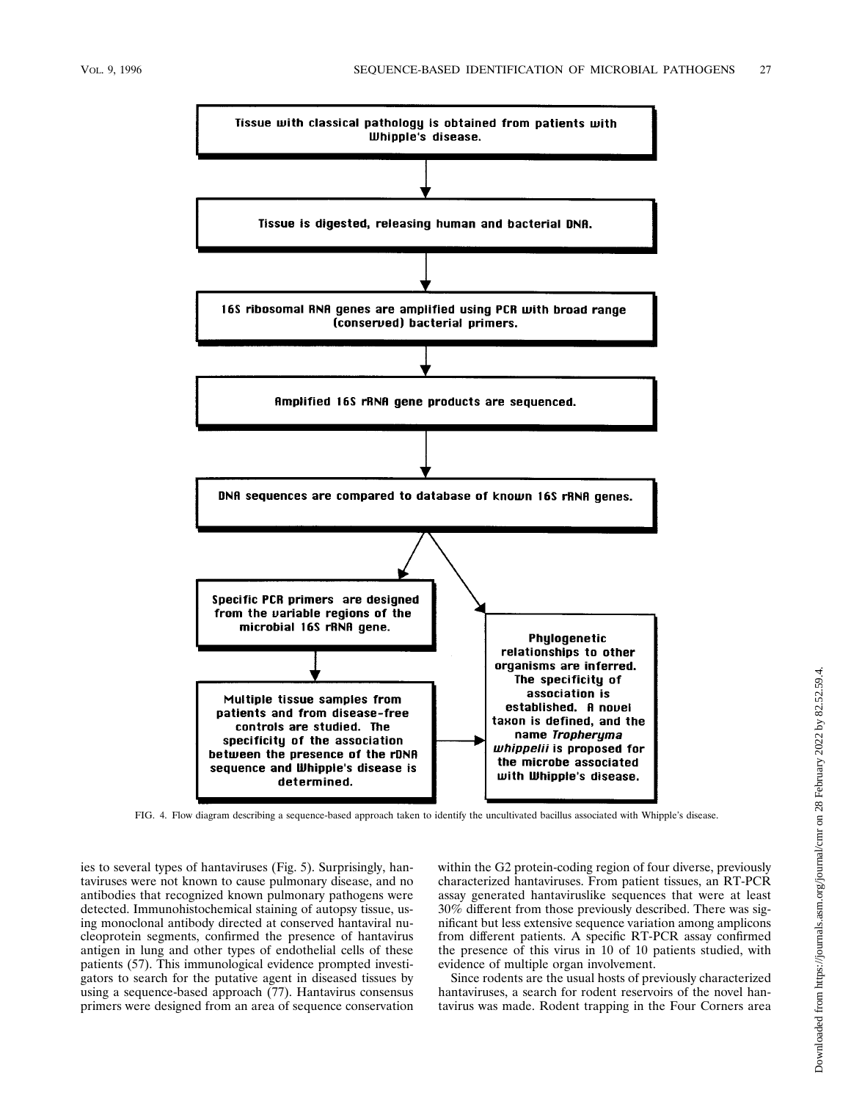

FIG. 4. Flow diagram describing a sequence-based approach taken to identify the uncultivated bacillus associated with Whipple's disease.

ies to several types of hantaviruses (Fig. 5). Surprisingly, hantaviruses were not known to cause pulmonary disease, and no antibodies that recognized known pulmonary pathogens were detected. Immunohistochemical staining of autopsy tissue, using monoclonal antibody directed at conserved hantaviral nucleoprotein segments, confirmed the presence of hantavirus antigen in lung and other types of endothelial cells of these patients (57). This immunological evidence prompted investigators to search for the putative agent in diseased tissues by using a sequence-based approach (77). Hantavirus consensus primers were designed from an area of sequence conservation

within the G2 protein-coding region of four diverse, previously characterized hantaviruses. From patient tissues, an RT-PCR assay generated hantaviruslike sequences that were at least 30% different from those previously described. There was significant but less extensive sequence variation among amplicons from different patients. A specific RT-PCR assay confirmed the presence of this virus in 10 of 10 patients studied, with evidence of multiple organ involvement.

Since rodents are the usual hosts of previously characterized hantaviruses, a search for rodent reservoirs of the novel hantavirus was made. Rodent trapping in the Four Corners area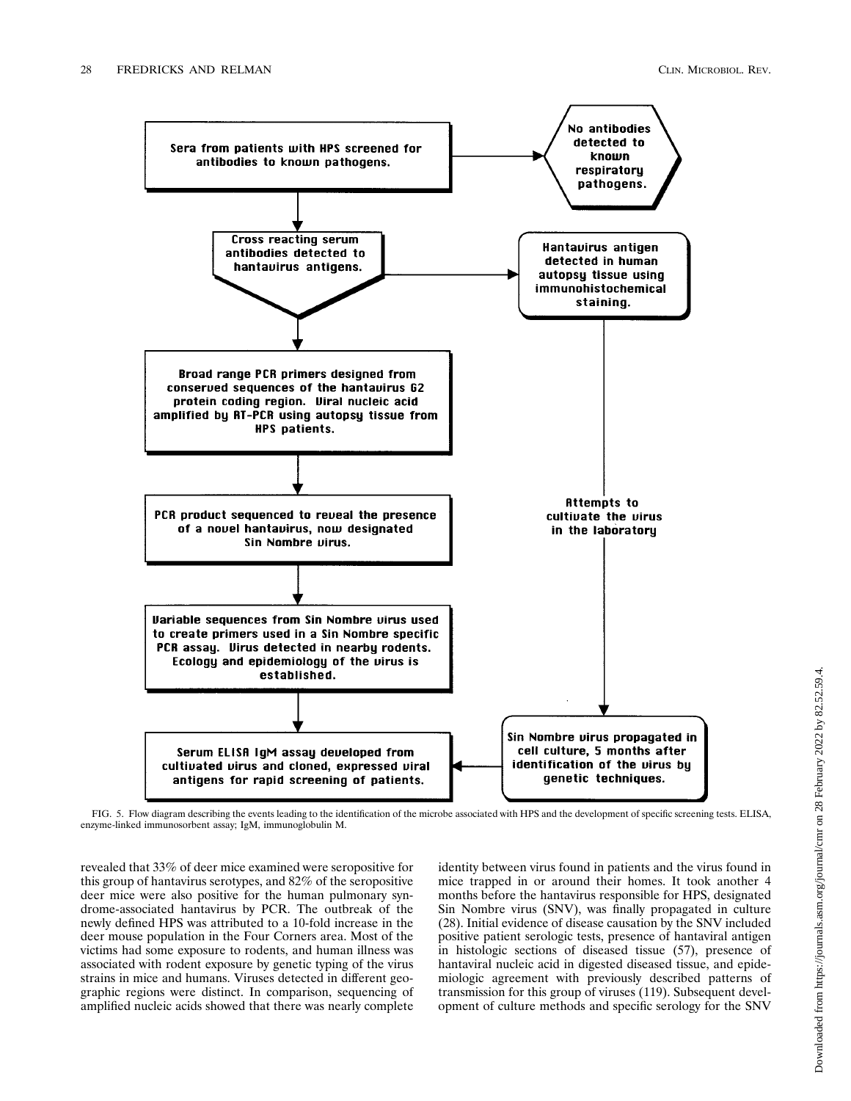

FIG. 5. Flow diagram describing the events leading to the identification of the microbe associated with HPS and the development of specific screening tests. ELISA, enzyme-linked immunosorbent assay; IgM, immunoglobulin M.

revealed that 33% of deer mice examined were seropositive for this group of hantavirus serotypes, and 82% of the seropositive deer mice were also positive for the human pulmonary syndrome-associated hantavirus by PCR. The outbreak of the newly defined HPS was attributed to a 10-fold increase in the deer mouse population in the Four Corners area. Most of the victims had some exposure to rodents, and human illness was associated with rodent exposure by genetic typing of the virus strains in mice and humans. Viruses detected in different geographic regions were distinct. In comparison, sequencing of amplified nucleic acids showed that there was nearly complete

identity between virus found in patients and the virus found in mice trapped in or around their homes. It took another 4 months before the hantavirus responsible for HPS, designated Sin Nombre virus (SNV), was finally propagated in culture (28). Initial evidence of disease causation by the SNV included positive patient serologic tests, presence of hantaviral antigen in histologic sections of diseased tissue (57), presence of hantaviral nucleic acid in digested diseased tissue, and epidemiologic agreement with previously described patterns of transmission for this group of viruses (119). Subsequent development of culture methods and specific serology for the SNV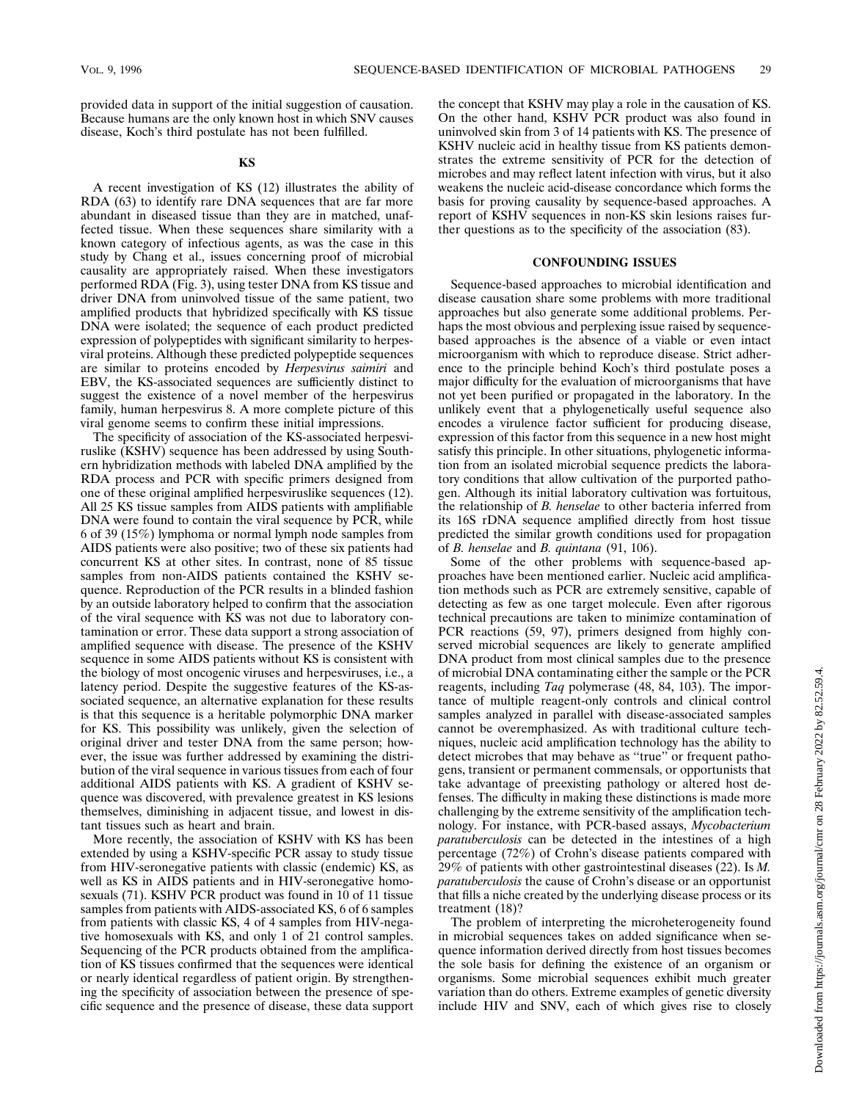provided data in support of the initial suggestion of causation. Because humans are the only known host in which SNV causes disease, Koch's third postulate has not been fulfilled.

## **KS**

A recent investigation of KS (12) illustrates the ability of RDA (63) to identify rare DNA sequences that are far more abundant in diseased tissue than they are in matched, unaffected tissue. When these sequences share similarity with a known category of infectious agents, as was the case in this study by Chang et al., issues concerning proof of microbial causality are appropriately raised. When these investigators performed RDA (Fig. 3), using tester DNA from KS tissue and driver DNA from uninvolved tissue of the same patient, two amplified products that hybridized specifically with KS tissue DNA were isolated; the sequence of each product predicted expression of polypeptides with significant similarity to herpesviral proteins. Although these predicted polypeptide sequences are similar to proteins encoded by *Herpesvirus saimiri* and EBV, the KS-associated sequences are sufficiently distinct to suggest the existence of a novel member of the herpesvirus family, human herpesvirus 8. A more complete picture of this viral genome seems to confirm these initial impressions.

The specificity of association of the KS-associated herpesviruslike (KSHV) sequence has been addressed by using Southern hybridization methods with labeled DNA amplified by the RDA process and PCR with specific primers designed from one of these original amplified herpesviruslike sequences (12). All 25 KS tissue samples from AIDS patients with amplifiable DNA were found to contain the viral sequence by PCR, while 6 of 39 (15%) lymphoma or normal lymph node samples from AIDS patients were also positive; two of these six patients had concurrent KS at other sites. In contrast, none of 85 tissue samples from non-AIDS patients contained the KSHV sequence. Reproduction of the PCR results in a blinded fashion by an outside laboratory helped to confirm that the association of the viral sequence with KS was not due to laboratory contamination or error. These data support a strong association of amplified sequence with disease. The presence of the KSHV sequence in some AIDS patients without KS is consistent with the biology of most oncogenic viruses and herpesviruses, i.e., a latency period. Despite the suggestive features of the KS-associated sequence, an alternative explanation for these results is that this sequence is a heritable polymorphic DNA marker for KS. This possibility was unlikely, given the selection of original driver and tester DNA from the same person; however, the issue was further addressed by examining the distribution of the viral sequence in various tissues from each of four additional AIDS patients with KS. A gradient of KSHV sequence was discovered, with prevalence greatest in KS lesions themselves, diminishing in adjacent tissue, and lowest in distant tissues such as heart and brain.

More recently, the association of KSHV with KS has been extended by using a KSHV-specific PCR assay to study tissue from HIV-seronegative patients with classic (endemic) KS, as well as KS in AIDS patients and in HIV-seronegative homosexuals (71). KSHV PCR product was found in 10 of 11 tissue samples from patients with AIDS-associated KS, 6 of 6 samples from patients with classic KS, 4 of 4 samples from HIV-negative homosexuals with KS, and only 1 of 21 control samples. Sequencing of the PCR products obtained from the amplification of KS tissues confirmed that the sequences were identical or nearly identical regardless of patient origin. By strengthening the specificity of association between the presence of specific sequence and the presence of disease, these data support the concept that KSHV may play a role in the causation of KS. On the other hand, KSHV PCR product was also found in uninvolved skin from 3 of 14 patients with KS. The presence of KSHV nucleic acid in healthy tissue from KS patients demonstrates the extreme sensitivity of PCR for the detection of microbes and may reflect latent infection with virus, but it also weakens the nucleic acid-disease concordance which forms the basis for proving causality by sequence-based approaches. A report of KSHV sequences in non-KS skin lesions raises further questions as to the specificity of the association (83).

### **CONFOUNDING ISSUES**

Sequence-based approaches to microbial identification and disease causation share some problems with more traditional approaches but also generate some additional problems. Perhaps the most obvious and perplexing issue raised by sequencebased approaches is the absence of a viable or even intact microorganism with which to reproduce disease. Strict adherence to the principle behind Koch's third postulate poses a major difficulty for the evaluation of microorganisms that have not yet been purified or propagated in the laboratory. In the unlikely event that a phylogenetically useful sequence also encodes a virulence factor sufficient for producing disease, expression of this factor from this sequence in a new host might satisfy this principle. In other situations, phylogenetic information from an isolated microbial sequence predicts the laboratory conditions that allow cultivation of the purported pathogen. Although its initial laboratory cultivation was fortuitous, the relationship of *B. henselae* to other bacteria inferred from its 16S rDNA sequence amplified directly from host tissue predicted the similar growth conditions used for propagation of *B. henselae* and *B. quintana* (91, 106).

Some of the other problems with sequence-based approaches have been mentioned earlier. Nucleic acid amplification methods such as PCR are extremely sensitive, capable of detecting as few as one target molecule. Even after rigorous technical precautions are taken to minimize contamination of PCR reactions (59, 97), primers designed from highly conserved microbial sequences are likely to generate amplified DNA product from most clinical samples due to the presence of microbial DNA contaminating either the sample or the PCR reagents, including *Taq* polymerase (48, 84, 103). The importance of multiple reagent-only controls and clinical control samples analyzed in parallel with disease-associated samples cannot be overemphasized. As with traditional culture techniques, nucleic acid amplification technology has the ability to detect microbes that may behave as ''true'' or frequent pathogens, transient or permanent commensals, or opportunists that take advantage of preexisting pathology or altered host defenses. The difficulty in making these distinctions is made more challenging by the extreme sensitivity of the amplification technology. For instance, with PCR-based assays, *Mycobacterium paratuberculosis* can be detected in the intestines of a high percentage (72%) of Crohn's disease patients compared with 29% of patients with other gastrointestinal diseases (22). Is *M. paratuberculosis* the cause of Crohn's disease or an opportunist that fills a niche created by the underlying disease process or its treatment (18)?

The problem of interpreting the microheterogeneity found in microbial sequences takes on added significance when sequence information derived directly from host tissues becomes the sole basis for defining the existence of an organism or organisms. Some microbial sequences exhibit much greater variation than do others. Extreme examples of genetic diversity include HIV and SNV, each of which gives rise to closely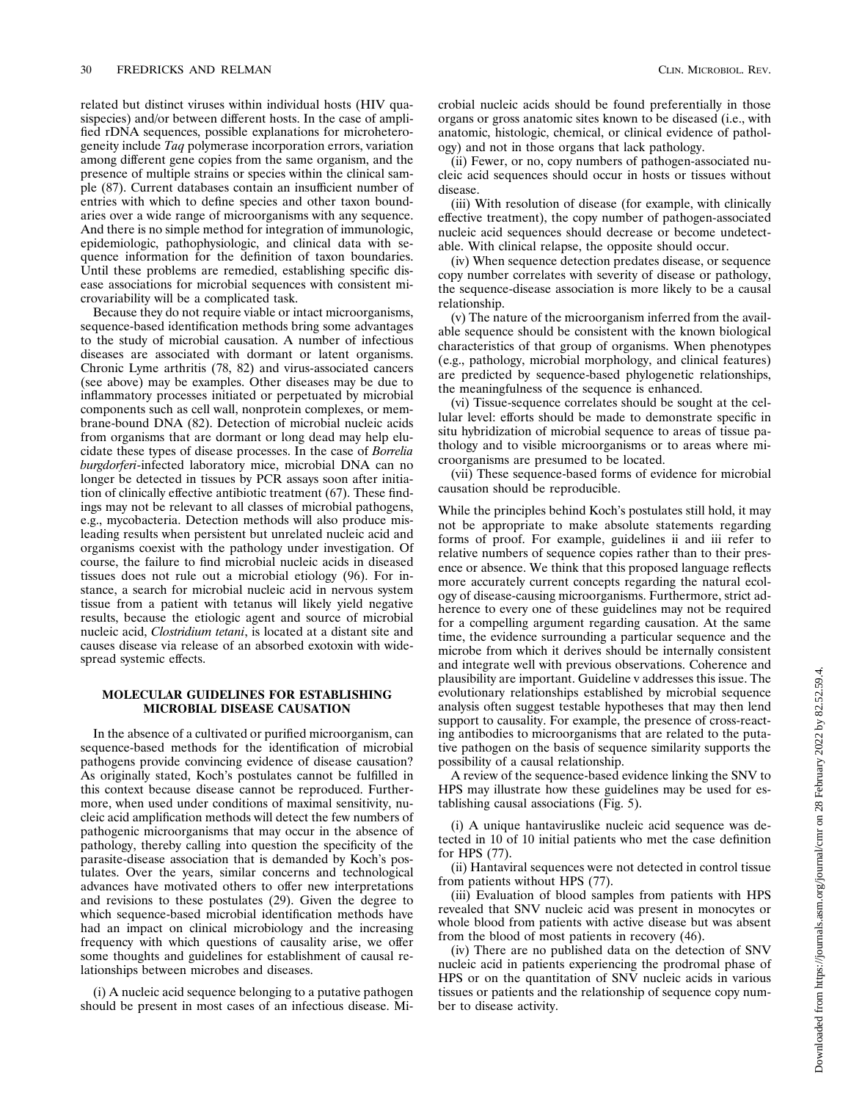related but distinct viruses within individual hosts (HIV quasispecies) and/or between different hosts. In the case of amplified rDNA sequences, possible explanations for microheterogeneity include *Taq* polymerase incorporation errors, variation among different gene copies from the same organism, and the presence of multiple strains or species within the clinical sample (87). Current databases contain an insufficient number of entries with which to define species and other taxon boundaries over a wide range of microorganisms with any sequence. And there is no simple method for integration of immunologic, epidemiologic, pathophysiologic, and clinical data with sequence information for the definition of taxon boundaries. Until these problems are remedied, establishing specific disease associations for microbial sequences with consistent microvariability will be a complicated task.

Because they do not require viable or intact microorganisms, sequence-based identification methods bring some advantages to the study of microbial causation. A number of infectious diseases are associated with dormant or latent organisms. Chronic Lyme arthritis (78, 82) and virus-associated cancers (see above) may be examples. Other diseases may be due to inflammatory processes initiated or perpetuated by microbial components such as cell wall, nonprotein complexes, or membrane-bound DNA (82). Detection of microbial nucleic acids from organisms that are dormant or long dead may help elucidate these types of disease processes. In the case of *Borrelia burgdorferi*-infected laboratory mice, microbial DNA can no longer be detected in tissues by PCR assays soon after initiation of clinically effective antibiotic treatment (67). These findings may not be relevant to all classes of microbial pathogens, e.g., mycobacteria. Detection methods will also produce misleading results when persistent but unrelated nucleic acid and organisms coexist with the pathology under investigation. Of course, the failure to find microbial nucleic acids in diseased tissues does not rule out a microbial etiology (96). For instance, a search for microbial nucleic acid in nervous system tissue from a patient with tetanus will likely yield negative results, because the etiologic agent and source of microbial nucleic acid, *Clostridium tetani*, is located at a distant site and causes disease via release of an absorbed exotoxin with widespread systemic effects.

# **MOLECULAR GUIDELINES FOR ESTABLISHING MICROBIAL DISEASE CAUSATION**

In the absence of a cultivated or purified microorganism, can sequence-based methods for the identification of microbial pathogens provide convincing evidence of disease causation? As originally stated, Koch's postulates cannot be fulfilled in this context because disease cannot be reproduced. Furthermore, when used under conditions of maximal sensitivity, nucleic acid amplification methods will detect the few numbers of pathogenic microorganisms that may occur in the absence of pathology, thereby calling into question the specificity of the parasite-disease association that is demanded by Koch's postulates. Over the years, similar concerns and technological advances have motivated others to offer new interpretations and revisions to these postulates (29). Given the degree to which sequence-based microbial identification methods have had an impact on clinical microbiology and the increasing frequency with which questions of causality arise, we offer some thoughts and guidelines for establishment of causal relationships between microbes and diseases.

(i) A nucleic acid sequence belonging to a putative pathogen should be present in most cases of an infectious disease. Microbial nucleic acids should be found preferentially in those organs or gross anatomic sites known to be diseased (i.e., with anatomic, histologic, chemical, or clinical evidence of pathology) and not in those organs that lack pathology.

(ii) Fewer, or no, copy numbers of pathogen-associated nucleic acid sequences should occur in hosts or tissues without disease.

(iii) With resolution of disease (for example, with clinically effective treatment), the copy number of pathogen-associated nucleic acid sequences should decrease or become undetectable. With clinical relapse, the opposite should occur.

(iv) When sequence detection predates disease, or sequence copy number correlates with severity of disease or pathology, the sequence-disease association is more likely to be a causal relationship.

(v) The nature of the microorganism inferred from the available sequence should be consistent with the known biological characteristics of that group of organisms. When phenotypes (e.g., pathology, microbial morphology, and clinical features) are predicted by sequence-based phylogenetic relationships, the meaningfulness of the sequence is enhanced.

(vi) Tissue-sequence correlates should be sought at the cellular level: efforts should be made to demonstrate specific in situ hybridization of microbial sequence to areas of tissue pathology and to visible microorganisms or to areas where microorganisms are presumed to be located.

(vii) These sequence-based forms of evidence for microbial causation should be reproducible.

While the principles behind Koch's postulates still hold, it may not be appropriate to make absolute statements regarding forms of proof. For example, guidelines ii and iii refer to relative numbers of sequence copies rather than to their presence or absence. We think that this proposed language reflects more accurately current concepts regarding the natural ecology of disease-causing microorganisms. Furthermore, strict adherence to every one of these guidelines may not be required for a compelling argument regarding causation. At the same time, the evidence surrounding a particular sequence and the microbe from which it derives should be internally consistent and integrate well with previous observations. Coherence and plausibility are important. Guideline v addresses this issue. The evolutionary relationships established by microbial sequence analysis often suggest testable hypotheses that may then lend support to causality. For example, the presence of cross-reacting antibodies to microorganisms that are related to the putative pathogen on the basis of sequence similarity supports the possibility of a causal relationship.

A review of the sequence-based evidence linking the SNV to HPS may illustrate how these guidelines may be used for establishing causal associations (Fig. 5).

(i) A unique hantaviruslike nucleic acid sequence was detected in 10 of 10 initial patients who met the case definition for HPS (77).

(ii) Hantaviral sequences were not detected in control tissue from patients without HPS (77).

(iii) Evaluation of blood samples from patients with HPS revealed that SNV nucleic acid was present in monocytes or whole blood from patients with active disease but was absent from the blood of most patients in recovery (46).

(iv) There are no published data on the detection of SNV nucleic acid in patients experiencing the prodromal phase of HPS or on the quantitation of SNV nucleic acids in various tissues or patients and the relationship of sequence copy number to disease activity.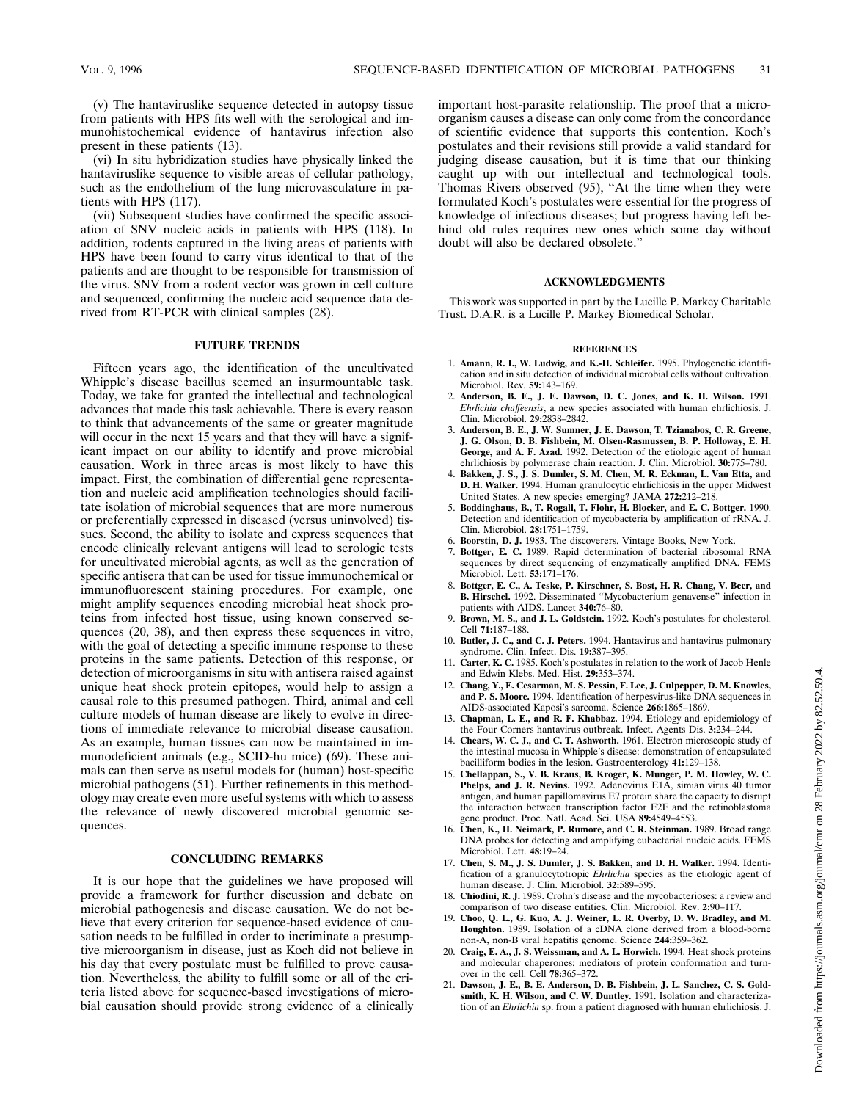(v) The hantaviruslike sequence detected in autopsy tissue from patients with HPS fits well with the serological and immunohistochemical evidence of hantavirus infection also present in these patients (13).

(vi) In situ hybridization studies have physically linked the hantaviruslike sequence to visible areas of cellular pathology, such as the endothelium of the lung microvasculature in patients with HPS (117).

(vii) Subsequent studies have confirmed the specific association of SNV nucleic acids in patients with HPS (118). In addition, rodents captured in the living areas of patients with HPS have been found to carry virus identical to that of the patients and are thought to be responsible for transmission of the virus. SNV from a rodent vector was grown in cell culture and sequenced, confirming the nucleic acid sequence data derived from RT-PCR with clinical samples (28).

## **FUTURE TRENDS**

Fifteen years ago, the identification of the uncultivated Whipple's disease bacillus seemed an insurmountable task. Today, we take for granted the intellectual and technological advances that made this task achievable. There is every reason to think that advancements of the same or greater magnitude will occur in the next 15 years and that they will have a significant impact on our ability to identify and prove microbial causation. Work in three areas is most likely to have this impact. First, the combination of differential gene representation and nucleic acid amplification technologies should facilitate isolation of microbial sequences that are more numerous or preferentially expressed in diseased (versus uninvolved) tissues. Second, the ability to isolate and express sequences that encode clinically relevant antigens will lead to serologic tests for uncultivated microbial agents, as well as the generation of specific antisera that can be used for tissue immunochemical or immunofluorescent staining procedures. For example, one might amplify sequences encoding microbial heat shock proteins from infected host tissue, using known conserved sequences (20, 38), and then express these sequences in vitro, with the goal of detecting a specific immune response to these proteins in the same patients. Detection of this response, or detection of microorganisms in situ with antisera raised against unique heat shock protein epitopes, would help to assign a causal role to this presumed pathogen. Third, animal and cell culture models of human disease are likely to evolve in directions of immediate relevance to microbial disease causation. As an example, human tissues can now be maintained in immunodeficient animals (e.g., SCID-hu mice) (69). These animals can then serve as useful models for (human) host-specific microbial pathogens (51). Further refinements in this methodology may create even more useful systems with which to assess the relevance of newly discovered microbial genomic sequences.

#### **CONCLUDING REMARKS**

It is our hope that the guidelines we have proposed will provide a framework for further discussion and debate on microbial pathogenesis and disease causation. We do not believe that every criterion for sequence-based evidence of causation needs to be fulfilled in order to incriminate a presumptive microorganism in disease, just as Koch did not believe in his day that every postulate must be fulfilled to prove causation. Nevertheless, the ability to fulfill some or all of the criteria listed above for sequence-based investigations of microbial causation should provide strong evidence of a clinically

important host-parasite relationship. The proof that a microorganism causes a disease can only come from the concordance of scientific evidence that supports this contention. Koch's postulates and their revisions still provide a valid standard for judging disease causation, but it is time that our thinking caught up with our intellectual and technological tools. Thomas Rivers observed (95), "At the time when they were formulated Koch's postulates were essential for the progress of knowledge of infectious diseases; but progress having left behind old rules requires new ones which some day without doubt will also be declared obsolete.''

#### **ACKNOWLEDGMENTS**

This work was supported in part by the Lucille P. Markey Charitable Trust. D.A.R. is a Lucille P. Markey Biomedical Scholar.

#### **REFERENCES**

- 1. **Amann, R. I., W. Ludwig, and K.-H. Schleifer.** 1995. Phylogenetic identification and in situ detection of individual microbial cells without cultivation. Microbiol. Rev. **59:**143–169.
- 2. **Anderson, B. E., J. E. Dawson, D. C. Jones, and K. H. Wilson.** 1991. *Ehrlichia chaffeensis*, a new species associated with human ehrlichiosis. J. Clin. Microbiol. **29:**2838–2842.
- 3. **Anderson, B. E., J. W. Sumner, J. E. Dawson, T. Tzianabos, C. R. Greene, J. G. Olson, D. B. Fishbein, M. Olsen-Rasmussen, B. P. Holloway, E. H. George, and A. F. Azad.** 1992. Detection of the etiologic agent of human
- ehrlichiosis by polymerase chain reaction. J. Clin. Microbiol. **30:**775–780. 4. **Bakken, J. S., J. S. Dumler, S. M. Chen, M. R. Eckman, L. Van Etta, and D. H. Walker.** 1994. Human granulocytic ehrlichiosis in the upper Midwest United States. A new species emerging? JAMA **272:**212–218.
- 5. **Boddinghaus, B., T. Rogall, T. Flohr, H. Blocker, and E. C. Bottger.** 1990. Detection and identification of mycobacteria by amplification of rRNA. J. Clin. Microbiol. **28:**1751–1759.
- 6. **Boorstin, D. J.** 1983. The discoverers. Vintage Books, New York.
- 7. **Bottger, E. C.** 1989. Rapid determination of bacterial ribosomal RNA sequences by direct sequencing of enzymatically amplified DNA. FEMS Microbiol. Lett. **53:**171–176.
- 8. **Bottger, E. C., A. Teske, P. Kirschner, S. Bost, H. R. Chang, V. Beer, and B. Hirschel.** 1992. Disseminated ''Mycobacterium genavense'' infection in patients with AIDS. Lancet **340:**76–80.
- 9. **Brown, M. S., and J. L. Goldstein.** 1992. Koch's postulates for cholesterol. Cell **71:**187–188.
- 10. **Butler, J. C., and C. J. Peters.** 1994. Hantavirus and hantavirus pulmonary syndrome. Clin. Infect. Dis. **19:**387–395.
- 11. **Carter, K. C.** 1985. Koch's postulates in relation to the work of Jacob Henle and Edwin Klebs. Med. Hist. **29:**353–374.
- 12. **Chang, Y., E. Cesarman, M. S. Pessin, F. Lee, J. Culpepper, D. M. Knowles, and P. S. Moore.** 1994. Identification of herpesvirus-like DNA sequences in AIDS-associated Kaposi's sarcoma. Science **266:**1865–1869.
- 13. **Chapman, L. E., and R. F. Khabbaz.** 1994. Etiology and epidemiology of the Four Corners hantavirus outbreak. Infect. Agents Dis. **3:**234–244.
- 14. **Chears, W. C. J., and C. T. Ashworth.** 1961. Electron microscopic study of the intestinal mucosa in Whipple's disease: demonstration of encapsulated bacilliform bodies in the lesion. Gastroenterology **41:**129–138.
- 15. **Chellappan, S., V. B. Kraus, B. Kroger, K. Munger, P. M. Howley, W. C. Phelps, and J. R. Nevins.** 1992. Adenovirus E1A, simian virus 40 tumor antigen, and human papillomavirus E7 protein share the capacity to disrupt the interaction between transcription factor E2F and the retinoblastoma gene product. Proc. Natl. Acad. Sci. USA **89:**4549–4553.
- 16. **Chen, K., H. Neimark, P. Rumore, and C. R. Steinman.** 1989. Broad range DNA probes for detecting and amplifying eubacterial nucleic acids. FEMS Microbiol. Lett. **48:**19–24.
- 17. **Chen, S. M., J. S. Dumler, J. S. Bakken, and D. H. Walker.** 1994. Identification of a granulocytotropic *Ehrlichia* species as the etiologic agent of human disease. J. Clin. Microbiol. **32:**589–595.
- 18. **Chiodini, R. J.** 1989. Crohn's disease and the mycobacterioses: a review and comparison of two disease entities. Clin. Microbiol. Rev. **2:**90–117.
- 19. **Choo, Q. L., G. Kuo, A. J. Weiner, L. R. Overby, D. W. Bradley, and M. Houghton.** 1989. Isolation of a cDNA clone derived from a blood-borne non-A, non-B viral hepatitis genome. Science **244:**359–362. 20. **Craig, E. A., J. S. Weissman, and A. L. Horwich.** 1994. Heat shock proteins
- and molecular chaperones: mediators of protein conformation and turn-over in the cell. Cell **78:**365–372.
- 21. **Dawson, J. E., B. E. Anderson, D. B. Fishbein, J. L. Sanchez, C. S. Gold-smith, K. H. Wilson, and C. W. Duntley.** 1991. Isolation and characterization of an *Ehrlichia* sp. from a patient diagnosed with human ehrlichiosis. J.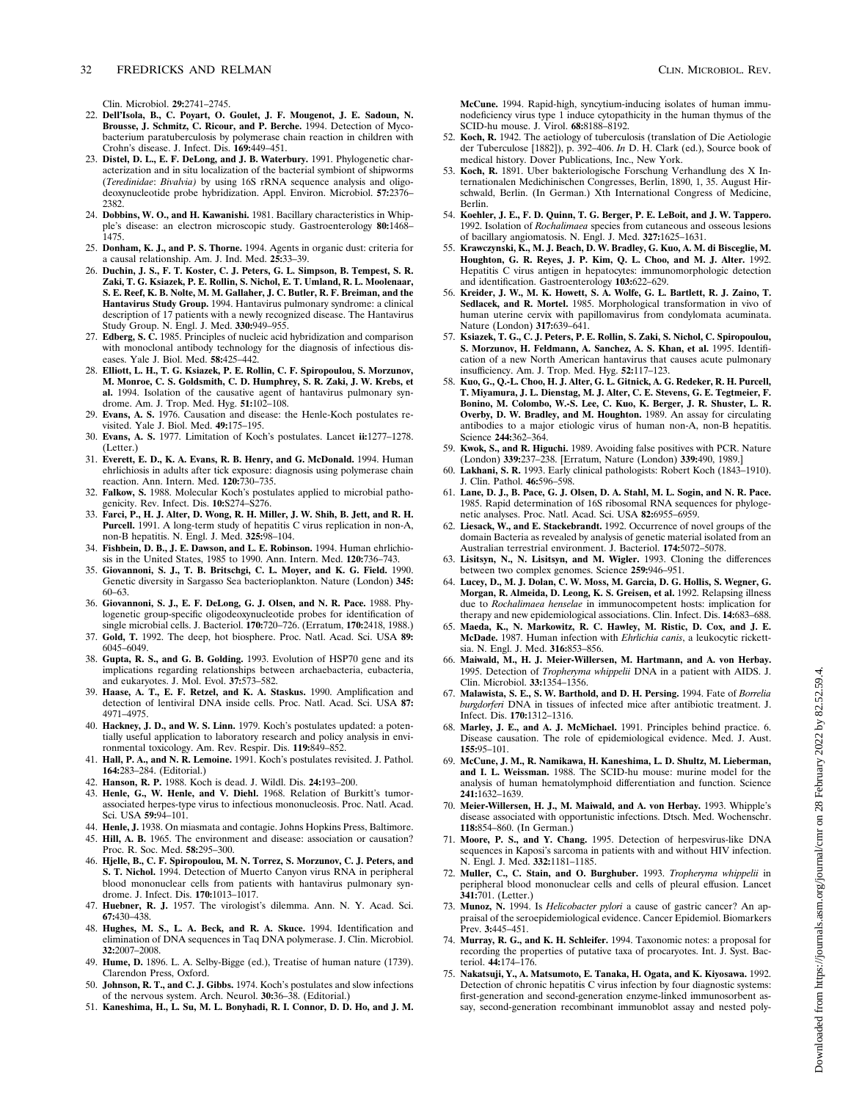Clin. Microbiol. **29:**2741–2745.

- 22. **Dell'Isola, B., C. Poyart, O. Goulet, J. F. Mougenot, J. E. Sadoun, N. Brousse, J. Schmitz, C. Ricour, and P. Berche.** 1994. Detection of Mycobacterium paratuberculosis by polymerase chain reaction in children with Crohn's disease. J. Infect. Dis. **169:**449–451.
- 23. **Distel, D. L., E. F. DeLong, and J. B. Waterbury.** 1991. Phylogenetic characterization and in situ localization of the bacterial symbiont of shipworms (*Teredinidae*: *Bivalvia)* by using 16S rRNA sequence analysis and oligodeoxynucleotide probe hybridization. Appl. Environ. Microbiol. **57:**2376– 2382.
- 24. **Dobbins, W. O., and H. Kawanishi.** 1981. Bacillary characteristics in Whipple's disease: an electron microscopic study. Gastroenterology **80:**1468– 1475.
- 25. **Donham, K. J., and P. S. Thorne.** 1994. Agents in organic dust: criteria for a causal relationship. Am. J. Ind. Med. **25:**33–39.
- 26. **Duchin, J. S., F. T. Koster, C. J. Peters, G. L. Simpson, B. Tempest, S. R. Zaki, T. G. Ksiazek, P. E. Rollin, S. Nichol, E. T. Umland, R. L. Moolenaar, S. E. Reef, K. B. Nolte, M. M. Gallaher, J. C. Butler, R. F. Breiman, and the Hantavirus Study Group.** 1994. Hantavirus pulmonary syndrome: a clinical description of 17 patients with a newly recognized disease. The Hantavirus Study Group. N. Engl. J. Med. **330:**949–955.
- 27. **Edberg, S. C.** 1985. Principles of nucleic acid hybridization and comparison with monoclonal antibody technology for the diagnosis of infectious diseases. Yale J. Biol. Med. **58:**425–442.
- 28. **Elliott, L. H., T. G. Ksiazek, P. E. Rollin, C. F. Spiropoulou, S. Morzunov, M. Monroe, C. S. Goldsmith, C. D. Humphrey, S. R. Zaki, J. W. Krebs, et al.** 1994. Isolation of the causative agent of hantavirus pulmonary syndrome. Am. J. Trop. Med. Hyg. **51:**102–108.
- 29. **Evans, A. S.** 1976. Causation and disease: the Henle-Koch postulates revisited. Yale J. Biol. Med. **49:**175–195.
- 30. **Evans, A. S.** 1977. Limitation of Koch's postulates. Lancet **ii:**1277–1278. (Letter.)
- 31. **Everett, E. D., K. A. Evans, R. B. Henry, and G. McDonald.** 1994. Human ehrlichiosis in adults after tick exposure: diagnosis using polymerase chain reaction. Ann. Intern. Med. **120:**730–735.
- 32. **Falkow, S.** 1988. Molecular Koch's postulates applied to microbial patho-genicity. Rev. Infect. Dis. **10:**S274–S276.
- 33. **Farci, P., H. J. Alter, D. Wong, R. H. Miller, J. W. Shih, B. Jett, and R. H. Purcell.** 1991. A long-term study of hepatitis C virus replication in non-A, non-B hepatitis. N. Engl. J. Med. **325:**98–104.
- 34. **Fishbein, D. B., J. E. Dawson, and L. E. Robinson.** 1994. Human ehrlichio-sis in the United States, 1985 to 1990. Ann. Intern. Med. **120:**736–743.
- 35. **Giovannoni, S. J., T. B. Britschgi, C. L. Moyer, and K. G. Field.** 1990. Genetic diversity in Sargasso Sea bacterioplankton. Nature (London) **345:** 60–63.
- 36. **Giovannoni, S. J., E. F. DeLong, G. J. Olsen, and N. R. Pace.** 1988. Phylogenetic group-specific oligodeoxynucleotide probes for identification of single microbial cells. J. Bacteriol. **170:**720–726. (Erratum, **170:**2418, 1988.)
- 37. **Gold, T.** 1992. The deep, hot biosphere. Proc. Natl. Acad. Sci. USA **89:** 6045–6049.
- 38. **Gupta, R. S., and G. B. Golding.** 1993. Evolution of HSP70 gene and its implications regarding relationships between archaebacteria, eubacteria, and eukaryotes. J. Mol. Evol. **37:**573–582.
- 39. **Haase, A. T., E. F. Retzel, and K. A. Staskus.** 1990. Amplification and detection of lentiviral DNA inside cells. Proc. Natl. Acad. Sci. USA **87:** 4971–4975.
- 40. **Hackney, J. D., and W. S. Linn.** 1979. Koch's postulates updated: a potentially useful application to laboratory research and policy analysis in environmental toxicology. Am. Rev. Respir. Dis. **119:**849–852.
- 41. **Hall, P. A., and N. R. Lemoine.** 1991. Koch's postulates revisited. J. Pathol. **164:**283–284. (Editorial.)
- 42. **Hanson, R. P.** 1988. Koch is dead. J. Wildl. Dis. **24:**193–200.
- 43. **Henle, G., W. Henle, and V. Diehl.** 1968. Relation of Burkitt's tumorassociated herpes-type virus to infectious mononucleosis. Proc. Natl. Acad. Sci. USA **59:**94–101.
- 44. **Henle, J.** 1938. On miasmata and contagie. Johns Hopkins Press, Baltimore.
- 45. **Hill, A. B.** 1965. The environment and disease: association or causation? Proc. R. Soc. Med. **58:**295–300.
- 46. **Hjelle, B., C. F. Spiropoulou, M. N. Torrez, S. Morzunov, C. J. Peters, and S. T. Nichol.** 1994. Detection of Muerto Canyon virus RNA in peripheral blood mononuclear cells from patients with hantavirus pulmonary syndrome. J. Infect. Dis. **170:**1013–1017.
- 47. **Huebner, R. J.** 1957. The virologist's dilemma. Ann. N. Y. Acad. Sci. **67:**430–438.
- 48. **Hughes, M. S., L. A. Beck, and R. A. Skuce.** 1994. Identification and elimination of DNA sequences in Taq DNA polymerase. J. Clin. Microbiol. **32:**2007–2008.
- 49. **Hume, D.** 1896. L. A. Selby-Bigge (ed.), Treatise of human nature (1739). Clarendon Press, Oxford.
- 50. **Johnson, R. T., and C. J. Gibbs.** 1974. Koch's postulates and slow infections of the nervous system. Arch. Neurol. **30:**36–38. (Editorial.)
- 51. **Kaneshima, H., L. Su, M. L. Bonyhadi, R. I. Connor, D. D. Ho, and J. M.**

**McCune.** 1994. Rapid-high, syncytium-inducing isolates of human immunodeficiency virus type 1 induce cytopathicity in the human thymus of the SCID-hu mouse. J. Virol. **68:**8188–8192.

- 52. **Koch, R.** 1942. The aetiology of tuberculosis (translation of Die Aetiologie der Tuberculose [1882]), p. 392–406. *In* D. H. Clark (ed.), Source book of medical history. Dover Publications, Inc., New York.
- 53. **Koch, R.** 1891. Uber bakteriologische Forschung Verhandlung des X Internationalen Medichinischen Congresses, Berlin, 1890, 1, 35. August Hirschwald, Berlin. (In German.) Xth International Congress of Medicine, Berlin.
- 54. **Koehler, J. E., F. D. Quinn, T. G. Berger, P. E. LeBoit, and J. W. Tappero.** 1992. Isolation of *Rochalimaea* species from cutaneous and osseous lesions of bacillary angiomatosis. N. Engl. J. Med. **327:**1625–1631.
- 55. **Krawczynski, K., M. J. Beach, D. W. Bradley, G. Kuo, A. M. di Bisceglie, M. Houghton, G. R. Reyes, J. P. Kim, Q. L. Choo, and M. J. Alter.** 1992. Hepatitis C virus antigen in hepatocytes: immunomorphologic detection and identification. Gastroenterology **103:**622–629.
- 56. **Kreider, J. W., M. K. Howett, S. A. Wolfe, G. L. Bartlett, R. J. Zaino, T. Sedlacek, and R. Mortel.** 1985. Morphological transformation in vivo of human uterine cervix with papillomavirus from condylomata acuminata. Nature (London) **317:**639–641.
- 57. **Ksiazek, T. G., C. J. Peters, P. E. Rollin, S. Zaki, S. Nichol, C. Spiropoulou, S. Morzunov, H. Feldmann, A. Sanchez, A. S. Khan, et al.** 1995. Identification of a new North American hantavirus that causes acute pulmonary insufficiency. Am. J. Trop. Med. Hyg. **52:**117–123.
- 58. **Kuo, G., Q.-L. Choo, H. J. Alter, G. L. Gitnick, A. G. Redeker, R. H. Purcell, T. Miyamura, J. L. Dienstag, M. J. Alter, C. E. Stevens, G. E. Tegtmeier, F. Bonino, M. Colombo, W.-S. Lee, C. Kuo, K. Berger, J. R. Shuster, L. R. Overby, D. W. Bradley, and M. Houghton.** 1989. An assay for circulating antibodies to a major etiologic virus of human non-A, non-B hepatitis. Science **244:**362–364.
- 59. **Kwok, S., and R. Higuchi.** 1989. Avoiding false positives with PCR. Nature (London) **339:**237–238. [Erratum, Nature (London) **339:**490, 1989.]
- 60. **Lakhani, S. R.** 1993. Early clinical pathologists: Robert Koch (1843–1910). J. Clin. Pathol. **46:**596–598.
- 61. **Lane, D. J., B. Pace, G. J. Olsen, D. A. Stahl, M. L. Sogin, and N. R. Pace.** 1985. Rapid determination of 16S ribosomal RNA sequences for phylogenetic analyses. Proc. Natl. Acad. Sci. USA **82:**6955–6959.
- 62. **Liesack, W., and E. Stackebrandt.** 1992. Occurrence of novel groups of the domain Bacteria as revealed by analysis of genetic material isolated from an Australian terrestrial environment. J. Bacteriol. **174:**5072–5078.
- 63. **Lisitsyn, N., N. Lisitsyn, and M. Wigler.** 1993. Cloning the differences between two complex genomes. Science **259:**946–951.
- 64. **Lucey, D., M. J. Dolan, C. W. Moss, M. Garcia, D. G. Hollis, S. Wegner, G. Morgan, R. Almeida, D. Leong, K. S. Greisen, et al.** 1992. Relapsing illness due to *Rochalimaea henselae* in immunocompetent hosts: implication for therapy and new epidemiological associations. Clin. Infect. Dis. **14:**683–688.
- 65. **Maeda, K., N. Markowitz, R. C. Hawley, M. Ristic, D. Cox, and J. E. McDade.** 1987. Human infection with *Ehrlichia canis*, a leukocytic rickettsia. N. Engl. J. Med. **316:**853–856.
- 66. **Maiwald, M., H. J. Meier-Willersen, M. Hartmann, and A. von Herbay.** 1995. Detection of *Tropheryma whippelii* DNA in a patient with AIDS. J. Clin. Microbiol. **33:**1354–1356.
- 67. **Malawista, S. E., S. W. Barthold, and D. H. Persing.** 1994. Fate of *Borrelia burgdorferi* DNA in tissues of infected mice after antibiotic treatment. J. Infect. Dis. **170:**1312–1316.
- 68. **Marley, J. E., and A. J. McMichael.** 1991. Principles behind practice. 6. Disease causation. The role of epidemiological evidence. Med. J. Aust. **155:**95–101.
- 69. **McCune, J. M., R. Namikawa, H. Kaneshima, L. D. Shultz, M. Lieberman, and I. L. Weissman.** 1988. The SCID-hu mouse: murine model for the analysis of human hematolymphoid differentiation and function. Science **241:**1632–1639.
- 70. **Meier-Willersen, H. J., M. Maiwald, and A. von Herbay.** 1993. Whipple's disease associated with opportunistic infections. Dtsch. Med. Wochenschr. **118:**854–860. (In German.)
- 71. **Moore, P. S., and Y. Chang.** 1995. Detection of herpesvirus-like DNA sequences in Kaposi's sarcoma in patients with and without HIV infection. N. Engl. J. Med. **332:**1181–1185.
- 72. **Muller, C., C. Stain, and O. Burghuber.** 1993. *Tropheryma whippelii* in peripheral blood mononuclear cells and cells of pleural effusion. Lancet **341:**701. (Letter.)
- 73. **Munoz, N.** 1994. Is *Helicobacter pylori* a cause of gastric cancer? An appraisal of the seroepidemiological evidence. Cancer Epidemiol. Biomarkers Prev. **3:**445–451.
- 74. **Murray, R. G., and K. H. Schleifer.** 1994. Taxonomic notes: a proposal for recording the properties of putative taxa of procaryotes. Int. J. Syst. Bacteriol. **44:**174–176.
- 75. **Nakatsuji, Y., A. Matsumoto, E. Tanaka, H. Ogata, and K. Kiyosawa.** 1992. Detection of chronic hepatitis C virus infection by four diagnostic systems: first-generation and second-generation enzyme-linked immunosorbent assay, second-generation recombinant immunoblot assay and nested poly-